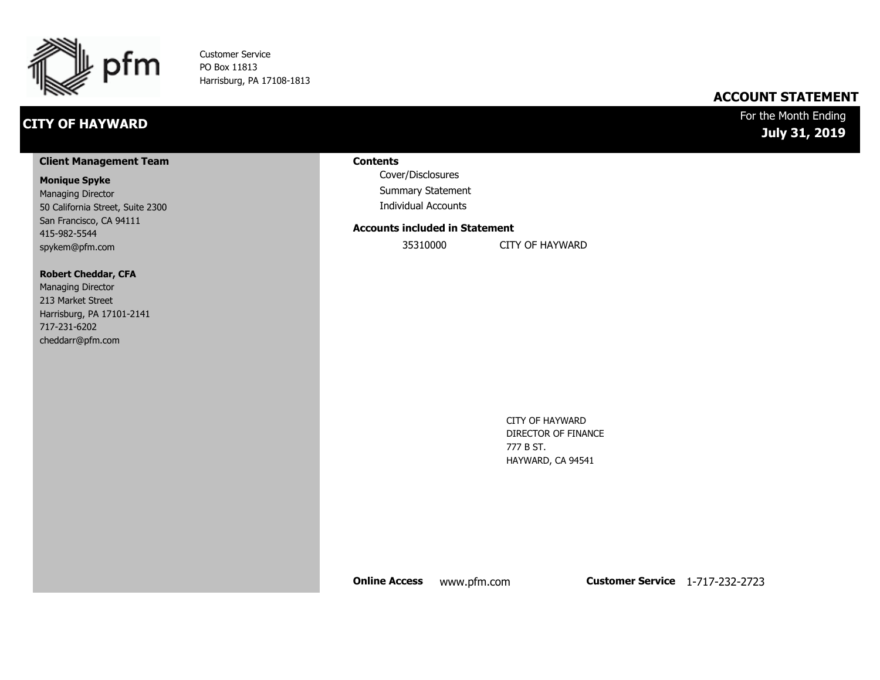

Customer Service PO Box 11813 Harrisburg, PA 17108-1813

## **CITY OF HAYWARD**

### **ACCOUNT STATEMENT**

### For the Month Ending **July 31, 2019**

#### **Client Management Team**

#### **Monique Spyke**

Managing Director 50 California Street, Suite 2300 San Francisco, CA 94111 415-982-5544 spykem@pfm.com

#### **Robert Cheddar, CFA**

| <b>Managing Director</b>  |
|---------------------------|
| 213 Market Street         |
| Harrisburg, PA 17101-2141 |
| 717-231-6202              |
| cheddarr@pfm.com          |

#### **Contents**

Cover/Disclosures Summary Statement Individual Accounts

#### **Accounts included in Statement**

35310000 CITY OF HAYWARD

CITY OF HAYWARD DIRECTOR OF FINANCE 777 B ST. HAYWARD, CA 94541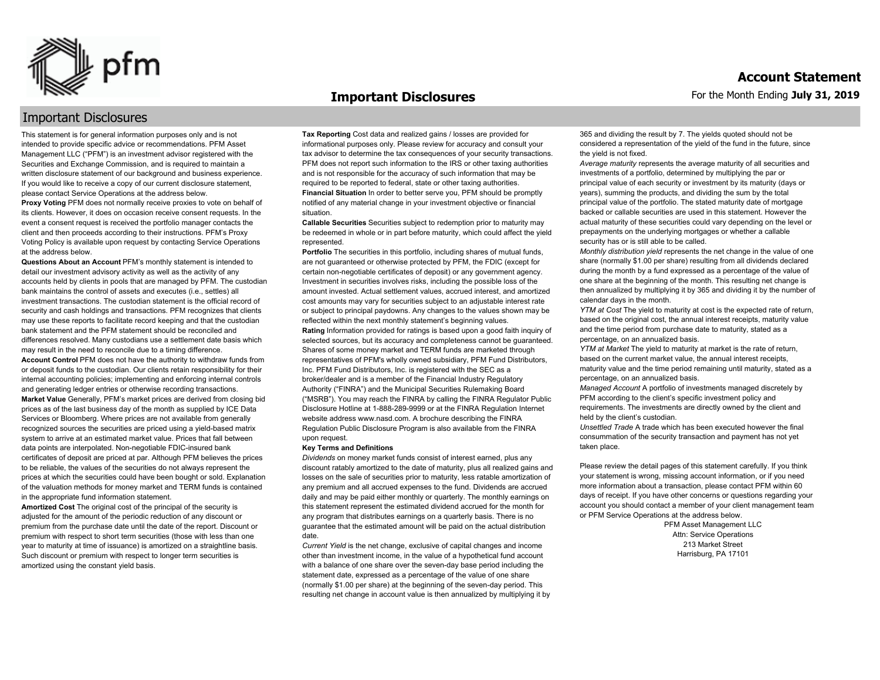

#### **Important Disclosures**

### Important Disclosures

This statement is for general information purposes only and is not intended to provide specific advice or recommendations. PFM Asset Management LLC ("PFM") is an investment advisor registered with the Securities and Exchange Commission, and is required to maintain a written disclosure statement of our background and business experience. If you would like to receive a copy of our current disclosure statement, please contact Service Operations at the address below.

**Proxy Voting** PFM does not normally receive proxies to vote on behalf of its clients. However, it does on occasion receive consent requests. In the event a consent request is received the portfolio manager contacts the client and then proceeds according to their instructions. PFM's Proxy Voting Policy is available upon request by contacting Service Operations at the address below.

**Questions About an Account** PFM's monthly statement is intended to detail our investment advisory activity as well as the activity of any accounts held by clients in pools that are managed by PFM. The custodian bank maintains the control of assets and executes (i.e., settles) all investment transactions. The custodian statement is the official record of security and cash holdings and transactions. PFM recognizes that clients may use these reports to facilitate record keeping and that the custodian bank statement and the PFM statement should be reconciled and differences resolved. Many custodians use a settlement date basis which may result in the need to reconcile due to a timing difference. **Account Control** PFM does not have the authority to withdraw funds from or deposit funds to the custodian. Our clients retain responsibility for their internal accounting policies; implementing and enforcing internal controls and generating ledger entries or otherwise recording transactions. **Market Value** Generally, PFM's market prices are derived from closing bid prices as of the last business day of the month as supplied by ICE Data Services or Bloomberg. Where prices are not available from generally recognized sources the securities are priced using a yield-based matrix system to arrive at an estimated market value. Prices that fall between data points are interpolated. Non-negotiable FDIC-insured bank certificates of deposit are priced at par. Although PFM believes the prices to be reliable, the values of the securities do not always represent the prices at which the securities could have been bought or sold. Explanation of the valuation methods for money market and TERM funds is contained in the appropriate fund information statement.

**Amortized Cost** The original cost of the principal of the security is adjusted for the amount of the periodic reduction of any discount or premium from the purchase date until the date of the report. Discount or premium with respect to short term securities (those with less than one year to maturity at time of issuance) is amortized on a straightline basis. Such discount or premium with respect to longer term securities is amortized using the constant yield basis.

**Tax Reporting** Cost data and realized gains / losses are provided for informational purposes only. Please review for accuracy and consult your tax advisor to determine the tax consequences of your security transactions. PFM does not report such information to the IRS or other taxing authorities and is not responsible for the accuracy of such information that may be required to be reported to federal, state or other taxing authorities. **Financial Situation** In order to better serve you, PFM should be promptly notified of any material change in your investment objective or financial situation.

**Callable Securities** Securities subject to redemption prior to maturity may be redeemed in whole or in part before maturity, which could affect the yield represented.

Portfolio The securities in this portfolio, including shares of mutual funds, are not guaranteed or otherwise protected by PFM, the FDIC (except for certain non-negotiable certificates of deposit) or any government agency. Investment in securities involves risks, including the possible loss of the amount invested. Actual settlement values, accrued interest, and amortized cost amounts may vary for securities subject to an adjustable interest rate or subject to principal paydowns. Any changes to the values shown may be reflected within the next monthly statement's beginning values. **Rating** Information provided for ratings is based upon a good faith inquiry of selected sources, but its accuracy and completeness cannot be guaranteed. Shares of some money market and TERM funds are marketed through representatives of PFM's wholly owned subsidiary, PFM Fund Distributors, Inc. PFM Fund Distributors, Inc. is registered with the SEC as a broker/dealer and is a member of the Financial Industry Regulatory Authority ("FINRA") and the Municipal Securities Rulemaking Board ("MSRB"). You may reach the FINRA by calling the FINRA Regulator Public Disclosure Hotline at 1-888-289-9999 or at the FINRA Regulation Internet website address www.nasd.com. A brochure describing the FINRA Regulation Public Disclosure Program is also available from the FINRA upon request.

#### **Key Terms and Definitions**

*Dividends* on money market funds consist of interest earned, plus any discount ratably amortized to the date of maturity, plus all realized gains and losses on the sale of securities prior to maturity, less ratable amortization of any premium and all accrued expenses to the fund. Dividends are accrued daily and may be paid either monthly or quarterly. The monthly earnings on this statement represent the estimated dividend accrued for the month for any program that distributes earnings on a quarterly basis. There is no guarantee that the estimated amount will be paid on the actual distribution date.

*Current Yield* is the net change, exclusive of capital changes and income other than investment income, in the value of a hypothetical fund account with a balance of one share over the seven-day base period including the statement date, expressed as a percentage of the value of one share (normally \$1.00 per share) at the beginning of the seven-day period. This resulting net change in account value is then annualized by multiplying it by 365 and dividing the result by 7. The yields quoted should not be considered a representation of the yield of the fund in the future, since the yield is not fixed.

*Average maturity* represents the average maturity of all securities and investments of a portfolio, determined by multiplying the par or principal value of each security or investment by its maturity (days or years), summing the products, and dividing the sum by the total principal value of the portfolio. The stated maturity date of mortgage backed or callable securities are used in this statement. However the actual maturity of these securities could vary depending on the level or prepayments on the underlying mortgages or whether a callable security has or is still able to be called.

*Monthly distribution yield* represents the net change in the value of one share (normally \$1.00 per share) resulting from all dividends declared during the month by a fund expressed as a percentage of the value of one share at the beginning of the month. This resulting net change is then annualized by multiplying it by 365 and dividing it by the number of calendar days in the month.

*YTM at Cost* The yield to maturity at cost is the expected rate of return, based on the original cost, the annual interest receipts, maturity value and the time period from purchase date to maturity, stated as a percentage, on an annualized basis.

*YTM at Market* The yield to maturity at market is the rate of return, based on the current market value, the annual interest receipts, maturity value and the time period remaining until maturity, stated as a percentage, on an annualized basis.

*Managed Account* A portfolio of investments managed discretely by PFM according to the client's specific investment policy and requirements. The investments are directly owned by the client and held by the client's custodian.

*Unsettled Trade* A trade which has been executed however the final consummation of the security transaction and payment has not yet taken place.

Please review the detail pages of this statement carefully. If you think your statement is wrong, missing account information, or if you need more information about a transaction, please contact PFM within 60 days of receipt. If you have other concerns or questions regarding your account you should contact a member of your client management team or PFM Service Operations at the address below.

> PFM Asset Management LLC Attn: Service Operations 213 Market Street Harrisburg, PA 17101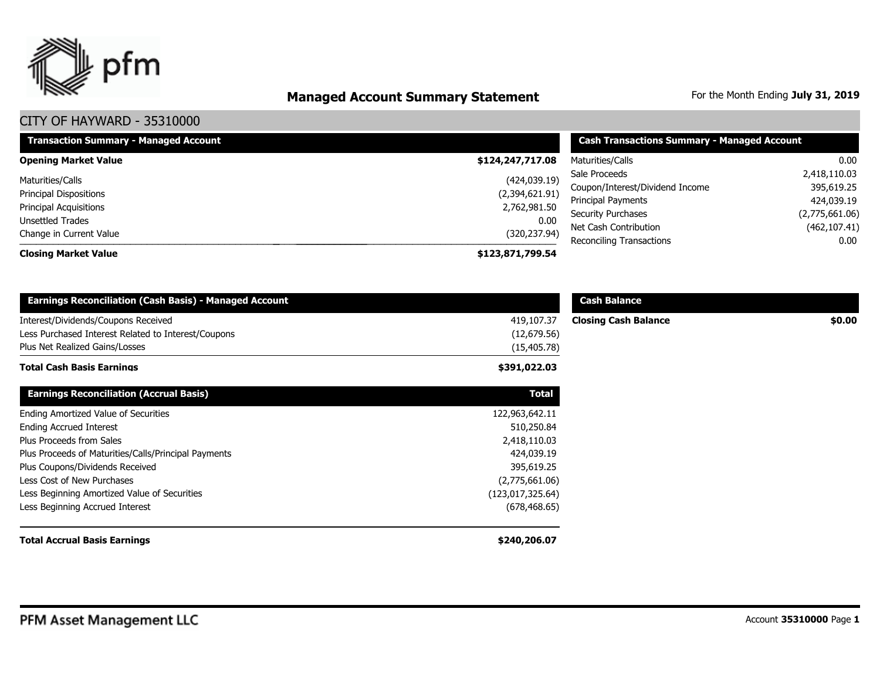

# **Managed Account Summary Statement** For the Month Ending July 31, 2019

| <b>Transaction Summary - Managed Account</b> | <b>Cash Transactions Summary - Managed Account</b> |                                                 |                                 |  |
|----------------------------------------------|----------------------------------------------------|-------------------------------------------------|---------------------------------|--|
| <b>Opening Market Value</b>                  | \$124,247,717.08                                   | Maturities/Calls                                | 0.00                            |  |
| Maturities/Calls                             | (424, 039.19)                                      | Sale Proceeds                                   | 2,418,110.03                    |  |
| <b>Principal Dispositions</b>                | (2,394,621.91)                                     | Coupon/Interest/Dividend Income                 | 395,619.25                      |  |
| <b>Principal Acquisitions</b>                | 2,762,981.50                                       | Principal Payments<br><b>Security Purchases</b> | 424,039.19                      |  |
| Unsettled Trades                             | 0.00                                               | Net Cash Contribution                           | (2,775,661.06)<br>(462, 107.41) |  |
| Change in Current Value                      | (320, 237.94)                                      | Reconciling Transactions                        | 0.00                            |  |
| <b>Closing Market Value</b>                  | \$123,871,799.54                                   |                                                 |                                 |  |

| <b>Earnings Reconciliation (Cash Basis) - Managed Account</b>                                                                |                                           | <b>Cash Balance</b>         |        |
|------------------------------------------------------------------------------------------------------------------------------|-------------------------------------------|-----------------------------|--------|
| Interest/Dividends/Coupons Received<br>Less Purchased Interest Related to Interest/Coupons<br>Plus Net Realized Gains/Losses | 419,107.37<br>(12,679.56)<br>(15, 405.78) | <b>Closing Cash Balance</b> | \$0.00 |
| <b>Total Cash Basis Earnings</b>                                                                                             | \$391,022.03                              |                             |        |
| <b>Earnings Reconciliation (Accrual Basis)</b>                                                                               | <b>Total</b>                              |                             |        |
| Ending Amortized Value of Securities                                                                                         | 122,963,642.11                            |                             |        |
| <b>Ending Accrued Interest</b>                                                                                               | 510,250.84                                |                             |        |
| Plus Proceeds from Sales                                                                                                     | 2,418,110.03                              |                             |        |
| Plus Proceeds of Maturities/Calls/Principal Payments                                                                         | 424,039.19                                |                             |        |
| Plus Coupons/Dividends Received                                                                                              | 395,619.25                                |                             |        |
| Less Cost of New Purchases                                                                                                   | (2,775,661.06)                            |                             |        |
| Less Beginning Amortized Value of Securities                                                                                 | (123, 017, 325.64)                        |                             |        |
| Less Beginning Accrued Interest                                                                                              | (678, 468.65)                             |                             |        |
| <b>Total Accrual Basis Earnings</b>                                                                                          | \$240,206.07                              |                             |        |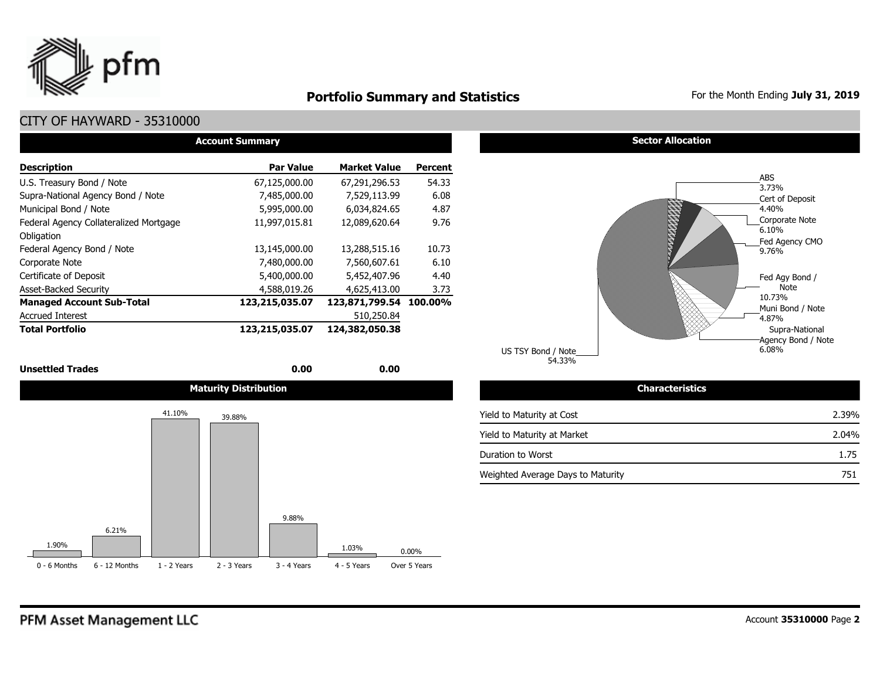

## **Portfolio Summary and Statistics** For the Month Ending July 31, 2019

## CITY OF HAYWARD - 35310000

| <b>Account Summary</b>                 |                  |                        |                |  |  |  |  |  |  |  |
|----------------------------------------|------------------|------------------------|----------------|--|--|--|--|--|--|--|
| <b>Description</b>                     | <b>Par Value</b> | <b>Market Value</b>    | <b>Percent</b> |  |  |  |  |  |  |  |
| U.S. Treasury Bond / Note              | 67,125,000.00    | 67,291,296.53          | 54.33          |  |  |  |  |  |  |  |
| Supra-National Agency Bond / Note      | 7,485,000.00     | 7,529,113.99           | 6.08           |  |  |  |  |  |  |  |
| Municipal Bond / Note                  | 5,995,000.00     | 6,034,824.65           | 4.87           |  |  |  |  |  |  |  |
| Federal Agency Collateralized Mortgage | 11,997,015.81    | 12,089,620.64          | 9.76           |  |  |  |  |  |  |  |
| Obligation                             |                  |                        |                |  |  |  |  |  |  |  |
| Federal Agency Bond / Note             | 13,145,000.00    | 13,288,515.16          | 10.73          |  |  |  |  |  |  |  |
| Corporate Note                         | 7,480,000.00     | 7,560,607.61           | 6.10           |  |  |  |  |  |  |  |
| Certificate of Deposit                 | 5,400,000.00     | 5,452,407.96           | 4.40           |  |  |  |  |  |  |  |
| <b>Asset-Backed Security</b>           | 4,588,019.26     | 4,625,413.00           | 3.73           |  |  |  |  |  |  |  |
| <b>Managed Account Sub-Total</b>       | 123,215,035.07   | 123,871,799.54 100.00% |                |  |  |  |  |  |  |  |
| <b>Accrued Interest</b>                |                  | 510,250.84             |                |  |  |  |  |  |  |  |
| <b>Total Portfolio</b>                 | 123,215,035.07   | 124,382,050.38         |                |  |  |  |  |  |  |  |

#### **Unsettled Trades** 0.00 **0.00** 0.00 **0.00**



#### **Sector Allocation**



| Gildracteristics                  |       |
|-----------------------------------|-------|
| Yield to Maturity at Cost         | 2.39% |
| Yield to Maturity at Market       | 2.04% |
| Duration to Worst                 | 1.75  |
| Weighted Average Days to Maturity | 751   |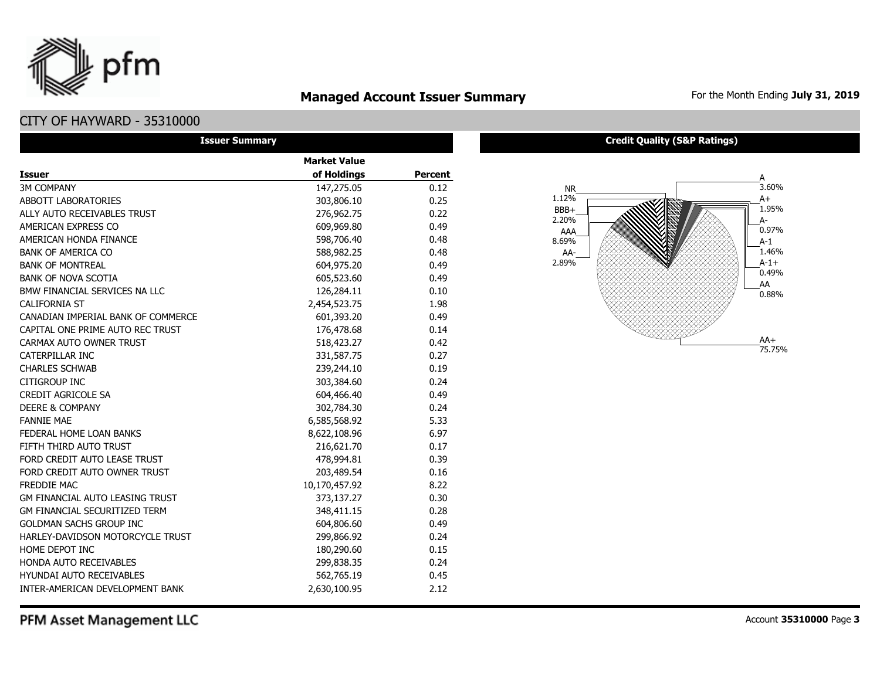## **Managed Account Issuer Summary** For the Month Ending July 31, 2019

## CITY OF HAYWARD - 35310000

pfm

| <b>Issuer Summary</b>                  |                     |                |  |  |  |  |  |  |  |
|----------------------------------------|---------------------|----------------|--|--|--|--|--|--|--|
|                                        | <b>Market Value</b> |                |  |  |  |  |  |  |  |
| <b>Issuer</b>                          | of Holdings         | <b>Percent</b> |  |  |  |  |  |  |  |
| <b>3M COMPANY</b>                      | 147,275.05          | 0.12           |  |  |  |  |  |  |  |
| <b>ABBOTT LABORATORIES</b>             | 303,806.10          | 0.25           |  |  |  |  |  |  |  |
| ALLY AUTO RECEIVABLES TRUST            | 276,962.75          | 0.22           |  |  |  |  |  |  |  |
| AMERICAN EXPRESS CO                    | 609,969.80          | 0.49           |  |  |  |  |  |  |  |
| AMERICAN HONDA FINANCE                 | 598,706.40          | 0.48           |  |  |  |  |  |  |  |
| <b>BANK OF AMERICA CO</b>              | 588,982.25          | 0.48           |  |  |  |  |  |  |  |
| <b>BANK OF MONTREAL</b>                | 604,975.20          | 0.49           |  |  |  |  |  |  |  |
| <b>BANK OF NOVA SCOTIA</b>             | 605,523.60          | 0.49           |  |  |  |  |  |  |  |
| BMW FINANCIAL SERVICES NA LLC          | 126,284.11          | 0.10           |  |  |  |  |  |  |  |
| <b>CALIFORNIA ST</b>                   | 2,454,523.75        | 1.98           |  |  |  |  |  |  |  |
| CANADIAN IMPERIAL BANK OF COMMERCE     | 601,393.20          | 0.49           |  |  |  |  |  |  |  |
| CAPITAL ONE PRIME AUTO REC TRUST       | 176,478.68          | 0.14           |  |  |  |  |  |  |  |
| CARMAX AUTO OWNER TRUST                | 518,423.27          | 0.42           |  |  |  |  |  |  |  |
| <b>CATERPILLAR INC</b>                 | 331,587.75          | 0.27           |  |  |  |  |  |  |  |
| <b>CHARLES SCHWAB</b>                  | 239,244.10          | 0.19           |  |  |  |  |  |  |  |
| <b>CITIGROUP INC</b>                   | 303,384.60          | 0.24           |  |  |  |  |  |  |  |
| CREDIT AGRICOLE SA                     | 604,466.40          | 0.49           |  |  |  |  |  |  |  |
| <b>DEERE &amp; COMPANY</b>             | 302,784.30          | 0.24           |  |  |  |  |  |  |  |
| <b>FANNIE MAE</b>                      | 6,585,568.92        | 5.33           |  |  |  |  |  |  |  |
| FEDERAL HOME LOAN BANKS                | 8,622,108.96        | 6.97           |  |  |  |  |  |  |  |
| FIFTH THIRD AUTO TRUST                 | 216,621.70          | 0.17           |  |  |  |  |  |  |  |
| FORD CREDIT AUTO LEASE TRUST           | 478,994.81          | 0.39           |  |  |  |  |  |  |  |
| FORD CREDIT AUTO OWNER TRUST           | 203,489.54          | 0.16           |  |  |  |  |  |  |  |
| FREDDIE MAC                            | 10,170,457.92       | 8.22           |  |  |  |  |  |  |  |
| <b>GM FINANCIAL AUTO LEASING TRUST</b> | 373,137.27          | 0.30           |  |  |  |  |  |  |  |
| <b>GM FINANCIAL SECURITIZED TERM</b>   | 348,411.15          | 0.28           |  |  |  |  |  |  |  |
| <b>GOLDMAN SACHS GROUP INC</b>         | 604,806.60          | 0.49           |  |  |  |  |  |  |  |
| HARLEY-DAVIDSON MOTORCYCLE TRUST       | 299,866.92          | 0.24           |  |  |  |  |  |  |  |
| HOME DEPOT INC                         | 180,290.60          | 0.15           |  |  |  |  |  |  |  |
| HONDA AUTO RECEIVABLES                 | 299,838.35          | 0.24           |  |  |  |  |  |  |  |
| <b>HYUNDAI AUTO RECEIVABLES</b>        | 562,765.19          | 0.45           |  |  |  |  |  |  |  |
| INTER-AMERICAN DEVELOPMENT BANK        | 2,630,100.95        | 2.12           |  |  |  |  |  |  |  |

**Credit Quality (S&P Ratings)**



PFM Asset Management LLC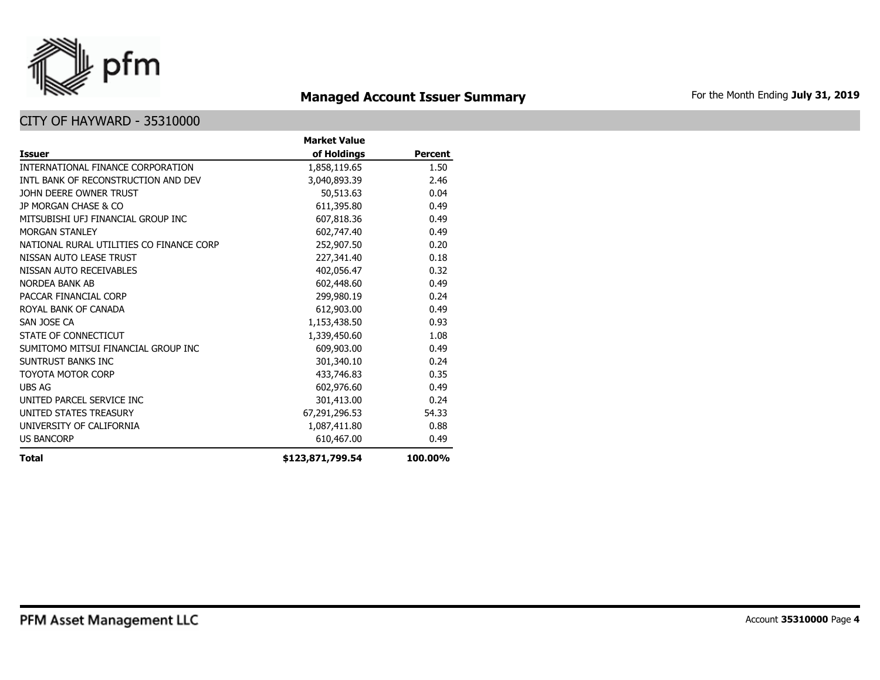

# **Managed Account Issuer Summary** For the Month Ending July 31, 2019

|                                          | <b>Market Value</b> |                |
|------------------------------------------|---------------------|----------------|
| Issuer                                   | of Holdings         | <b>Percent</b> |
| INTERNATIONAL FINANCE CORPORATION        | 1,858,119.65        | 1.50           |
| INTL BANK OF RECONSTRUCTION AND DEV      | 3,040,893.39        | 2.46           |
| JOHN DEERE OWNER TRUST                   | 50,513.63           | 0.04           |
| JP MORGAN CHASE & CO                     | 611,395.80          | 0.49           |
| MITSUBISHI UFJ FINANCIAL GROUP INC       | 607,818.36          | 0.49           |
| <b>MORGAN STANLEY</b>                    | 602,747.40          | 0.49           |
| NATIONAL RURAL UTILITIES CO FINANCE CORP | 252,907.50          | 0.20           |
| NISSAN AUTO LEASE TRUST                  | 227,341.40          | 0.18           |
| NISSAN AUTO RECEIVABLES                  | 402,056.47          | 0.32           |
| <b>NORDEA BANK AB</b>                    | 602,448.60          | 0.49           |
| PACCAR FINANCIAL CORP                    | 299,980.19          | 0.24           |
| ROYAL BANK OF CANADA                     | 612,903.00          | 0.49           |
| SAN JOSE CA                              | 1,153,438.50        | 0.93           |
| STATE OF CONNECTICUT                     | 1,339,450.60        | 1.08           |
| SUMITOMO MITSUI FINANCIAL GROUP INC      | 609,903.00          | 0.49           |
| SUNTRUST BANKS INC                       | 301,340.10          | 0.24           |
| <b>TOYOTA MOTOR CORP</b>                 | 433,746.83          | 0.35           |
| <b>UBS AG</b>                            | 602,976.60          | 0.49           |
| UNITED PARCEL SERVICE INC                | 301,413.00          | 0.24           |
| UNITED STATES TREASURY                   | 67,291,296.53       | 54.33          |
| UNIVERSITY OF CALIFORNIA                 | 1,087,411.80        | 0.88           |
| <b>US BANCORP</b>                        | 610,467.00          | 0.49           |
| Total                                    | \$123,871,799.54    | 100.00%        |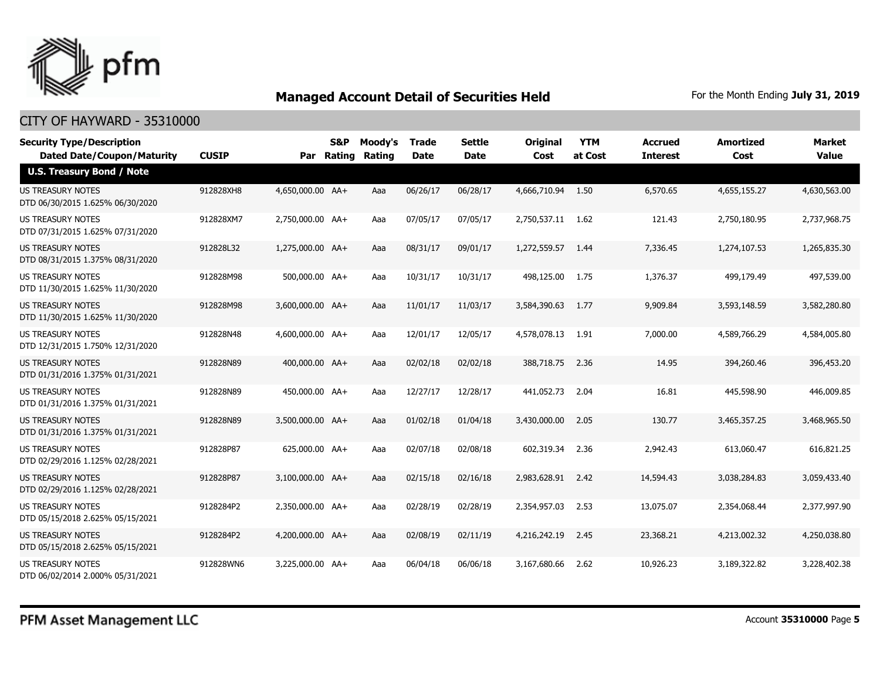

| <b>Security Type/Description</b><br><b>Dated Date/Coupon/Maturity</b> | <b>CUSIP</b> | Par              | S&P<br>Rating | Moody's<br>Rating | <b>Trade</b><br><b>Date</b> | <b>Settle</b><br><b>Date</b> | <b>Original</b><br>Cost | <b>YTM</b><br>at Cost | <b>Accrued</b><br><b>Interest</b> | <b>Amortized</b><br>Cost | <b>Market</b><br><b>Value</b> |
|-----------------------------------------------------------------------|--------------|------------------|---------------|-------------------|-----------------------------|------------------------------|-------------------------|-----------------------|-----------------------------------|--------------------------|-------------------------------|
| <b>U.S. Treasury Bond / Note</b>                                      |              |                  |               |                   |                             |                              |                         |                       |                                   |                          |                               |
| <b>US TREASURY NOTES</b><br>DTD 06/30/2015 1.625% 06/30/2020          | 912828XH8    | 4,650,000.00 AA+ |               | Aaa               | 06/26/17                    | 06/28/17                     | 4,666,710.94            | 1.50                  | 6,570.65                          | 4,655,155.27             | 4,630,563.00                  |
| US TREASURY NOTES<br>DTD 07/31/2015 1.625% 07/31/2020                 | 912828XM7    | 2,750,000.00 AA+ |               | Aaa               | 07/05/17                    | 07/05/17                     | 2,750,537.11            | 1.62                  | 121.43                            | 2,750,180.95             | 2,737,968.75                  |
| US TREASURY NOTES<br>DTD 08/31/2015 1.375% 08/31/2020                 | 912828L32    | 1,275,000.00 AA+ |               | Aaa               | 08/31/17                    | 09/01/17                     | 1,272,559.57            | 1.44                  | 7,336.45                          | 1,274,107.53             | 1,265,835.30                  |
| US TREASURY NOTES<br>DTD 11/30/2015 1.625% 11/30/2020                 | 912828M98    | 500,000.00 AA+   |               | Aaa               | 10/31/17                    | 10/31/17                     | 498,125.00              | 1.75                  | 1,376.37                          | 499,179.49               | 497,539.00                    |
| <b>US TREASURY NOTES</b><br>DTD 11/30/2015 1.625% 11/30/2020          | 912828M98    | 3,600,000.00 AA+ |               | Aaa               | 11/01/17                    | 11/03/17                     | 3,584,390.63            | 1.77                  | 9,909.84                          | 3,593,148.59             | 3,582,280.80                  |
| <b>US TREASURY NOTES</b><br>DTD 12/31/2015 1.750% 12/31/2020          | 912828N48    | 4,600,000.00 AA+ |               | Aaa               | 12/01/17                    | 12/05/17                     | 4,578,078.13            | 1.91                  | 7,000.00                          | 4,589,766.29             | 4,584,005.80                  |
| US TREASURY NOTES<br>DTD 01/31/2016 1.375% 01/31/2021                 | 912828N89    | 400,000,00 AA+   |               | Aaa               | 02/02/18                    | 02/02/18                     | 388,718.75              | 2.36                  | 14.95                             | 394,260,46               | 396,453.20                    |
| US TREASURY NOTES<br>DTD 01/31/2016 1.375% 01/31/2021                 | 912828N89    | 450,000.00 AA+   |               | Aaa               | 12/27/17                    | 12/28/17                     | 441,052.73              | 2.04                  | 16.81                             | 445,598.90               | 446,009.85                    |
| US TREASURY NOTES<br>DTD 01/31/2016 1.375% 01/31/2021                 | 912828N89    | 3,500,000.00 AA+ |               | Aaa               | 01/02/18                    | 01/04/18                     | 3,430,000.00            | 2.05                  | 130.77                            | 3,465,357.25             | 3,468,965.50                  |
| <b>US TREASURY NOTES</b><br>DTD 02/29/2016 1.125% 02/28/2021          | 912828P87    | 625,000.00 AA+   |               | Aaa               | 02/07/18                    | 02/08/18                     | 602,319.34              | 2.36                  | 2.942.43                          | 613,060.47               | 616,821.25                    |
| <b>US TREASURY NOTES</b><br>DTD 02/29/2016 1.125% 02/28/2021          | 912828P87    | 3.100.000.00 AA+ |               | Aaa               | 02/15/18                    | 02/16/18                     | 2,983,628.91            | 2.42                  | 14,594.43                         | 3,038,284.83             | 3,059,433,40                  |
| <b>US TREASURY NOTES</b><br>DTD 05/15/2018 2.625% 05/15/2021          | 9128284P2    | 2,350,000.00 AA+ |               | Aaa               | 02/28/19                    | 02/28/19                     | 2,354,957.03            | 2.53                  | 13,075.07                         | 2,354,068.44             | 2,377,997.90                  |
| <b>US TREASURY NOTES</b><br>DTD 05/15/2018 2.625% 05/15/2021          | 9128284P2    | 4,200,000.00 AA+ |               | Aaa               | 02/08/19                    | 02/11/19                     | 4,216,242.19            | 2.45                  | 23,368.21                         | 4,213,002.32             | 4,250,038.80                  |
| <b>US TREASURY NOTES</b><br>DTD 06/02/2014 2.000% 05/31/2021          | 912828WN6    | 3,225,000.00 AA+ |               | Aaa               | 06/04/18                    | 06/06/18                     | 3,167,680.66            | 2.62                  | 10,926.23                         | 3,189,322.82             | 3,228,402.38                  |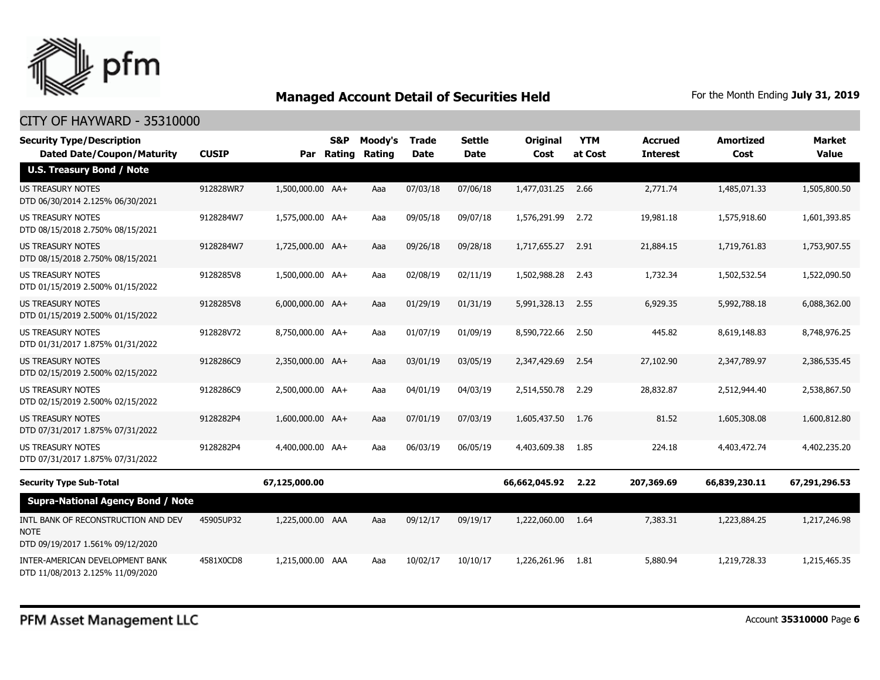

| <b>Security Type/Description</b><br><b>Dated Date/Coupon/Maturity</b>                  | <b>CUSIP</b> | Par              | S&P<br><b>Rating</b> | Moody's<br>Rating | <b>Trade</b><br><b>Date</b> | <b>Settle</b><br><b>Date</b> | <b>Original</b><br>Cost | <b>YTM</b><br>at Cost | <b>Accrued</b><br><b>Interest</b> | <b>Amortized</b><br>Cost | <b>Market</b><br><b>Value</b> |
|----------------------------------------------------------------------------------------|--------------|------------------|----------------------|-------------------|-----------------------------|------------------------------|-------------------------|-----------------------|-----------------------------------|--------------------------|-------------------------------|
| U.S. Treasury Bond / Note                                                              |              |                  |                      |                   |                             |                              |                         |                       |                                   |                          |                               |
| <b>US TREASURY NOTES</b><br>DTD 06/30/2014 2.125% 06/30/2021                           | 912828WR7    | 1,500,000.00 AA+ |                      | Aaa               | 07/03/18                    | 07/06/18                     | 1,477,031.25            | 2.66                  | 2,771.74                          | 1,485,071.33             | 1,505,800.50                  |
| US TREASURY NOTES<br>DTD 08/15/2018 2.750% 08/15/2021                                  | 9128284W7    | 1,575,000.00 AA+ |                      | Aaa               | 09/05/18                    | 09/07/18                     | 1,576,291.99            | 2.72                  | 19,981.18                         | 1,575,918.60             | 1,601,393.85                  |
| <b>US TREASURY NOTES</b><br>DTD 08/15/2018 2.750% 08/15/2021                           | 9128284W7    | 1,725,000.00 AA+ |                      | Aaa               | 09/26/18                    | 09/28/18                     | 1,717,655.27            | 2.91                  | 21,884.15                         | 1,719,761.83             | 1,753,907.55                  |
| US TREASURY NOTES<br>DTD 01/15/2019 2.500% 01/15/2022                                  | 9128285V8    | 1,500,000.00 AA+ |                      | Aaa               | 02/08/19                    | 02/11/19                     | 1,502,988.28            | 2.43                  | 1,732.34                          | 1,502,532.54             | 1,522,090.50                  |
| <b>US TREASURY NOTES</b><br>DTD 01/15/2019 2.500% 01/15/2022                           | 9128285V8    | 6,000,000.00 AA+ |                      | Aaa               | 01/29/19                    | 01/31/19                     | 5,991,328.13            | 2.55                  | 6,929.35                          | 5,992,788.18             | 6,088,362.00                  |
| <b>US TREASURY NOTES</b><br>DTD 01/31/2017 1.875% 01/31/2022                           | 912828V72    | 8,750,000.00 AA+ |                      | Aaa               | 01/07/19                    | 01/09/19                     | 8,590,722,66            | 2.50                  | 445.82                            | 8,619,148.83             | 8,748,976.25                  |
| <b>US TREASURY NOTES</b><br>DTD 02/15/2019 2.500% 02/15/2022                           | 9128286C9    | 2,350,000.00 AA+ |                      | Aaa               | 03/01/19                    | 03/05/19                     | 2,347,429.69            | 2.54                  | 27,102.90                         | 2,347,789.97             | 2,386,535.45                  |
| <b>US TREASURY NOTES</b><br>DTD 02/15/2019 2.500% 02/15/2022                           | 9128286C9    | 2,500,000.00 AA+ |                      | Aaa               | 04/01/19                    | 04/03/19                     | 2,514,550.78            | 2.29                  | 28,832.87                         | 2,512,944.40             | 2,538,867.50                  |
| <b>US TREASURY NOTES</b><br>DTD 07/31/2017 1.875% 07/31/2022                           | 9128282P4    | 1,600,000.00 AA+ |                      | Aaa               | 07/01/19                    | 07/03/19                     | 1,605,437.50            | 1.76                  | 81.52                             | 1,605,308.08             | 1,600,812.80                  |
| <b>US TREASURY NOTES</b><br>DTD 07/31/2017 1.875% 07/31/2022                           | 9128282P4    | 4,400,000.00 AA+ |                      | Aaa               | 06/03/19                    | 06/05/19                     | 4,403,609.38            | 1.85                  | 224.18                            | 4,403,472.74             | 4,402,235.20                  |
| <b>Security Type Sub-Total</b>                                                         |              | 67,125,000.00    |                      |                   |                             |                              | 66,662,045.92           | 2.22                  | 207,369.69                        | 66,839,230.11            | 67,291,296.53                 |
| <b>Supra-National Agency Bond / Note</b>                                               |              |                  |                      |                   |                             |                              |                         |                       |                                   |                          |                               |
| INTL BANK OF RECONSTRUCTION AND DEV<br><b>NOTE</b><br>DTD 09/19/2017 1.561% 09/12/2020 | 45905UP32    | 1,225,000.00 AAA |                      | Aaa               | 09/12/17                    | 09/19/17                     | 1,222,060.00            | 1.64                  | 7,383.31                          | 1,223,884.25             | 1,217,246,98                  |
| INTER-AMERICAN DEVELOPMENT BANK<br>DTD 11/08/2013 2.125% 11/09/2020                    | 4581X0CD8    | 1,215,000.00 AAA |                      | Aaa               | 10/02/17                    | 10/10/17                     | 1,226,261.96            | 1.81                  | 5,880.94                          | 1,219,728.33             | 1,215,465.35                  |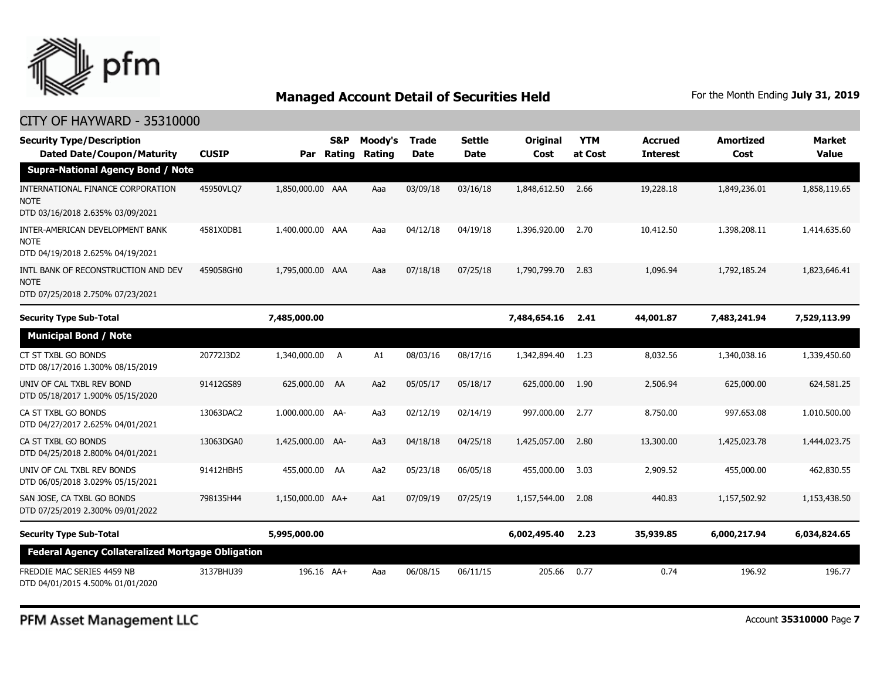

| <b>Security Type/Description</b><br><b>Dated Date/Coupon/Maturity</b>                  | <b>CUSIP</b> | Par              | S&P<br>Rating | Moody's<br>Rating | Trade<br><b>Date</b> | <b>Settle</b><br><b>Date</b> | Original<br>Cost | <b>YTM</b><br>at Cost | <b>Accrued</b><br><b>Interest</b> | <b>Amortized</b><br>Cost | <b>Market</b><br><b>Value</b> |
|----------------------------------------------------------------------------------------|--------------|------------------|---------------|-------------------|----------------------|------------------------------|------------------|-----------------------|-----------------------------------|--------------------------|-------------------------------|
| <b>Supra-National Agency Bond / Note</b>                                               |              |                  |               |                   |                      |                              |                  |                       |                                   |                          |                               |
| INTERNATIONAL FINANCE CORPORATION<br><b>NOTE</b><br>DTD 03/16/2018 2.635% 03/09/2021   | 45950VLQ7    | 1,850,000.00 AAA |               | Aaa               | 03/09/18             | 03/16/18                     | 1,848,612.50     | 2.66                  | 19,228.18                         | 1,849,236.01             | 1,858,119.65                  |
| INTER-AMERICAN DEVELOPMENT BANK<br><b>NOTE</b><br>DTD 04/19/2018 2.625% 04/19/2021     | 4581X0DB1    | 1,400,000.00 AAA |               | Aaa               | 04/12/18             | 04/19/18                     | 1,396,920.00     | 2.70                  | 10,412.50                         | 1,398,208.11             | 1,414,635.60                  |
| INTL BANK OF RECONSTRUCTION AND DEV<br><b>NOTE</b><br>DTD 07/25/2018 2.750% 07/23/2021 | 459058GH0    | 1,795,000.00 AAA |               | Aaa               | 07/18/18             | 07/25/18                     | 1,790,799.70     | 2.83                  | 1,096.94                          | 1,792,185.24             | 1,823,646.41                  |
| <b>Security Type Sub-Total</b>                                                         |              | 7,485,000.00     |               |                   |                      |                              | 7,484,654.16     | 2.41                  | 44,001.87                         | 7,483,241.94             | 7,529,113.99                  |
| <b>Municipal Bond / Note</b>                                                           |              |                  |               |                   |                      |                              |                  |                       |                                   |                          |                               |
| CT ST TXBL GO BONDS<br>DTD 08/17/2016 1.300% 08/15/2019                                | 20772J3D2    | 1,340,000.00     | A             | A1                | 08/03/16             | 08/17/16                     | 1,342,894.40     | 1.23                  | 8,032.56                          | 1,340,038.16             | 1,339,450.60                  |
| UNIV OF CAL TXBL REV BOND<br>DTD 05/18/2017 1.900% 05/15/2020                          | 91412GS89    | 625,000.00 AA    |               | Aa2               | 05/05/17             | 05/18/17                     | 625,000.00       | 1.90                  | 2,506.94                          | 625,000.00               | 624,581.25                    |
| CA ST TXBL GO BONDS<br>DTD 04/27/2017 2.625% 04/01/2021                                | 13063DAC2    | 1,000,000.00 AA- |               | Aa3               | 02/12/19             | 02/14/19                     | 997,000.00       | 2.77                  | 8,750.00                          | 997,653.08               | 1,010,500.00                  |
| CA ST TXBL GO BONDS<br>DTD 04/25/2018 2.800% 04/01/2021                                | 13063DGA0    | 1,425,000.00 AA- |               | Aa3               | 04/18/18             | 04/25/18                     | 1,425,057.00     | 2.80                  | 13,300.00                         | 1,425,023.78             | 1,444,023.75                  |
| UNIV OF CAL TXBL REV BONDS<br>DTD 06/05/2018 3.029% 05/15/2021                         | 91412HBH5    | 455,000.00 AA    |               | Aa2               | 05/23/18             | 06/05/18                     | 455,000.00       | 3.03                  | 2,909.52                          | 455,000.00               | 462,830.55                    |
| SAN JOSE, CA TXBL GO BONDS<br>DTD 07/25/2019 2.300% 09/01/2022                         | 798135H44    | 1,150,000.00 AA+ |               | Aa1               | 07/09/19             | 07/25/19                     | 1,157,544.00     | 2.08                  | 440.83                            | 1,157,502.92             | 1,153,438.50                  |
| <b>Security Type Sub-Total</b>                                                         |              | 5,995,000.00     |               |                   |                      |                              | 6,002,495.40     | 2.23                  | 35,939.85                         | 6,000,217.94             | 6,034,824.65                  |
| <b>Federal Agency Collateralized Mortgage Obligation</b>                               |              |                  |               |                   |                      |                              |                  |                       |                                   |                          |                               |
| FREDDIE MAC SERIES 4459 NB<br>DTD 04/01/2015 4.500% 01/01/2020                         | 3137BHU39    | 196.16 AA+       |               | Aaa               | 06/08/15             | 06/11/15                     | 205.66           | 0.77                  | 0.74                              | 196.92                   | 196.77                        |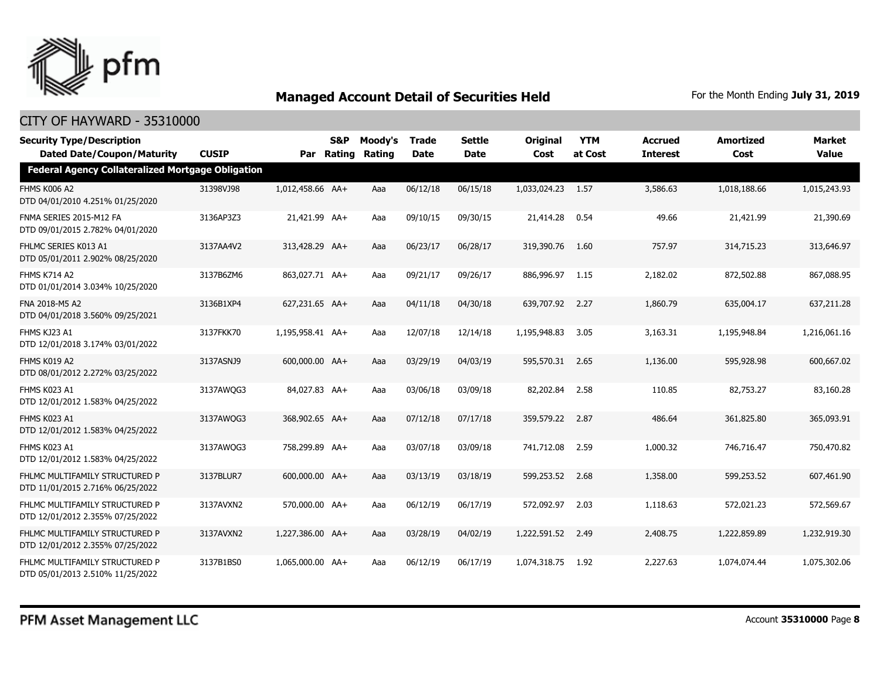

| <b>Security Type/Description</b><br><b>Dated Date/Coupon/Maturity</b> | <b>CUSIP</b> |                  | S&P<br>Par Rating | Moody's<br>Rating | <b>Trade</b><br><b>Date</b> | <b>Settle</b><br><b>Date</b> | <b>Original</b><br>Cost | <b>YTM</b><br>at Cost | <b>Accrued</b><br><b>Interest</b> | <b>Amortized</b><br>Cost | <b>Market</b><br><b>Value</b> |
|-----------------------------------------------------------------------|--------------|------------------|-------------------|-------------------|-----------------------------|------------------------------|-------------------------|-----------------------|-----------------------------------|--------------------------|-------------------------------|
| <b>Federal Agency Collateralized Mortgage Obligation</b>              |              |                  |                   |                   |                             |                              |                         |                       |                                   |                          |                               |
| <b>FHMS K006 A2</b><br>DTD 04/01/2010 4.251% 01/25/2020               | 31398VJ98    | 1,012,458.66 AA+ |                   | Aaa               | 06/12/18                    | 06/15/18                     | 1,033,024.23 1.57       |                       | 3,586.63                          | 1,018,188.66             | 1,015,243.93                  |
| FNMA SERIES 2015-M12 FA<br>DTD 09/01/2015 2.782% 04/01/2020           | 3136AP3Z3    | 21,421.99 AA+    |                   | Aaa               | 09/10/15                    | 09/30/15                     | 21,414.28               | 0.54                  | 49.66                             | 21,421.99                | 21,390.69                     |
| FHLMC SERIES K013 A1<br>DTD 05/01/2011 2.902% 08/25/2020              | 3137AA4V2    | 313,428.29 AA+   |                   | Aaa               | 06/23/17                    | 06/28/17                     | 319,390.76              | 1.60                  | 757.97                            | 314,715.23               | 313,646.97                    |
| <b>FHMS K714 A2</b><br>DTD 01/01/2014 3.034% 10/25/2020               | 3137B6ZM6    | 863,027.71 AA+   |                   | Aaa               | 09/21/17                    | 09/26/17                     | 886,996.97 1.15         |                       | 2,182.02                          | 872,502.88               | 867,088.95                    |
| FNA 2018-M5 A2<br>DTD 04/01/2018 3.560% 09/25/2021                    | 3136B1XP4    | 627,231.65 AA+   |                   | Aaa               | 04/11/18                    | 04/30/18                     | 639,707.92              | 2.27                  | 1,860.79                          | 635,004.17               | 637,211.28                    |
| FHMS KJ23 A1<br>DTD 12/01/2018 3.174% 03/01/2022                      | 3137FKK70    | 1,195,958.41 AA+ |                   | Aaa               | 12/07/18                    | 12/14/18                     | 1,195,948.83            | 3.05                  | 3,163.31                          | 1,195,948.84             | 1,216,061.16                  |
| FHMS K019 A2<br>DTD 08/01/2012 2.272% 03/25/2022                      | 3137ASNJ9    | 600,000,00 AA+   |                   | Aaa               | 03/29/19                    | 04/03/19                     | 595,570.31              | 2.65                  | 1,136.00                          | 595,928.98               | 600,667.02                    |
| FHMS K023 A1<br>DTD 12/01/2012 1.583% 04/25/2022                      | 3137AWQG3    | 84,027.83 AA+    |                   | Aaa               | 03/06/18                    | 03/09/18                     | 82,202.84               | 2.58                  | 110.85                            | 82,753.27                | 83,160.28                     |
| FHMS K023 A1<br>DTD 12/01/2012 1.583% 04/25/2022                      | 3137AWQG3    | 368,902.65 AA+   |                   | Aaa               | 07/12/18                    | 07/17/18                     | 359,579.22              | 2.87                  | 486.64                            | 361,825.80               | 365,093.91                    |
| FHMS K023 A1<br>DTD 12/01/2012 1.583% 04/25/2022                      | 3137AWQG3    | 758,299.89 AA+   |                   | Aaa               | 03/07/18                    | 03/09/18                     | 741,712.08              | 2.59                  | 1,000.32                          | 746,716.47               | 750,470.82                    |
| FHLMC MULTIFAMILY STRUCTURED P<br>DTD 11/01/2015 2.716% 06/25/2022    | 3137BLUR7    | 600,000.00 AA+   |                   | Aaa               | 03/13/19                    | 03/18/19                     | 599,253.52              | 2.68                  | 1,358.00                          | 599,253.52               | 607,461.90                    |
| FHLMC MULTIFAMILY STRUCTURED P<br>DTD 12/01/2012 2.355% 07/25/2022    | 3137AVXN2    | 570,000.00 AA+   |                   | Aaa               | 06/12/19                    | 06/17/19                     | 572,092.97              | 2.03                  | 1,118.63                          | 572,021.23               | 572,569.67                    |
| FHLMC MULTIFAMILY STRUCTURED P<br>DTD 12/01/2012 2.355% 07/25/2022    | 3137AVXN2    | 1,227,386.00 AA+ |                   | Aaa               | 03/28/19                    | 04/02/19                     | 1,222,591.52            | 2.49                  | 2,408.75                          | 1,222,859.89             | 1,232,919.30                  |
| FHLMC MULTIFAMILY STRUCTURED P<br>DTD 05/01/2013 2.510% 11/25/2022    | 3137B1BS0    | 1,065,000.00 AA+ |                   | Aaa               | 06/12/19                    | 06/17/19                     | 1,074,318.75            | 1.92                  | 2,227.63                          | 1,074,074.44             | 1,075,302.06                  |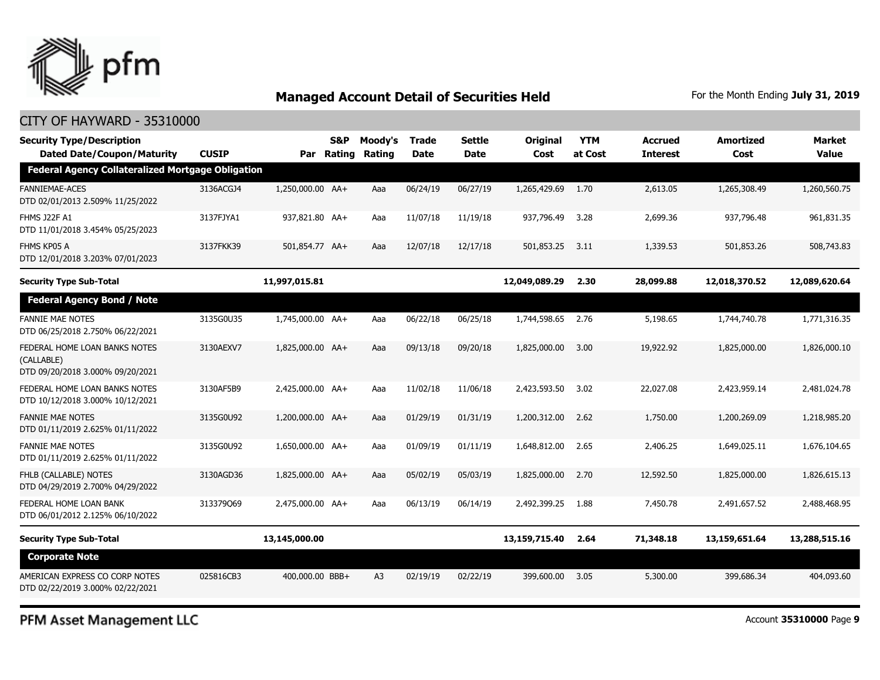

### CITY OF HAYWARD - 35310000

| <b>Security Type/Description</b><br><b>Dated Date/Coupon/Maturity</b>           | <b>CUSIP</b> | Par              | <b>S&amp;P</b><br>Rating | Moody's<br>Rating | <b>Trade</b><br><b>Date</b> | <b>Settle</b><br>Date | <b>Original</b><br>Cost | <b>YTM</b><br>at Cost | <b>Accrued</b><br><b>Interest</b> | <b>Amortized</b><br>Cost | <b>Market</b><br><b>Value</b> |
|---------------------------------------------------------------------------------|--------------|------------------|--------------------------|-------------------|-----------------------------|-----------------------|-------------------------|-----------------------|-----------------------------------|--------------------------|-------------------------------|
| <b>Federal Agency Collateralized Mortgage Obligation</b>                        |              |                  |                          |                   |                             |                       |                         |                       |                                   |                          |                               |
| <b>FANNIEMAE-ACES</b><br>DTD 02/01/2013 2.509% 11/25/2022                       | 3136ACGJ4    | 1,250,000.00 AA+ |                          | Aaa               | 06/24/19                    | 06/27/19              | 1,265,429.69            | 1.70                  | 2,613.05                          | 1,265,308.49             | 1,260,560.75                  |
| FHMS J22F A1<br>DTD 11/01/2018 3.454% 05/25/2023                                | 3137FJYA1    | 937,821.80 AA+   |                          | Aaa               | 11/07/18                    | 11/19/18              | 937,796.49              | 3.28                  | 2,699.36                          | 937,796.48               | 961,831.35                    |
| FHMS KP05 A<br>DTD 12/01/2018 3.203% 07/01/2023                                 | 3137FKK39    | 501,854.77 AA+   |                          | Aaa               | 12/07/18                    | 12/17/18              | 501,853.25              | 3.11                  | 1,339.53                          | 501,853.26               | 508,743.83                    |
| <b>Security Type Sub-Total</b>                                                  |              | 11,997,015.81    |                          |                   |                             |                       | 12,049,089.29           | 2.30                  | 28,099.88                         | 12,018,370.52            | 12,089,620.64                 |
| <b>Federal Agency Bond / Note</b>                                               |              |                  |                          |                   |                             |                       |                         |                       |                                   |                          |                               |
| <b>FANNIE MAE NOTES</b><br>DTD 06/25/2018 2.750% 06/22/2021                     | 3135G0U35    | 1,745,000.00 AA+ |                          | Aaa               | 06/22/18                    | 06/25/18              | 1,744,598.65            | 2.76                  | 5,198.65                          | 1,744,740.78             | 1,771,316.35                  |
| FEDERAL HOME LOAN BANKS NOTES<br>(CALLABLE)<br>DTD 09/20/2018 3.000% 09/20/2021 | 3130AEXV7    | 1,825,000.00 AA+ |                          | Aaa               | 09/13/18                    | 09/20/18              | 1,825,000.00            | 3.00                  | 19,922.92                         | 1,825,000.00             | 1,826,000.10                  |
| FEDERAL HOME LOAN BANKS NOTES<br>DTD 10/12/2018 3.000% 10/12/2021               | 3130AF5B9    | 2,425,000.00 AA+ |                          | Aaa               | 11/02/18                    | 11/06/18              | 2,423,593.50            | 3.02                  | 22,027.08                         | 2,423,959.14             | 2,481,024.78                  |
| <b>FANNIE MAE NOTES</b><br>DTD 01/11/2019 2.625% 01/11/2022                     | 3135G0U92    | 1,200,000.00 AA+ |                          | Aaa               | 01/29/19                    | 01/31/19              | 1,200,312,00            | 2.62                  | 1,750.00                          | 1,200,269.09             | 1,218,985.20                  |
| <b>FANNIE MAE NOTES</b><br>DTD 01/11/2019 2.625% 01/11/2022                     | 3135G0U92    | 1,650,000.00 AA+ |                          | Aaa               | 01/09/19                    | 01/11/19              | 1,648,812.00            | 2.65                  | 2,406.25                          | 1,649,025.11             | 1,676,104.65                  |
| FHLB (CALLABLE) NOTES<br>DTD 04/29/2019 2.700% 04/29/2022                       | 3130AGD36    | 1,825,000.00 AA+ |                          | Aaa               | 05/02/19                    | 05/03/19              | 1,825,000,00            | 2.70                  | 12,592.50                         | 1,825,000,00             | 1,826,615.13                  |
| FEDERAL HOME LOAN BANK<br>DTD 06/01/2012 2.125% 06/10/2022                      | 313379069    | 2,475,000.00 AA+ |                          | Aaa               | 06/13/19                    | 06/14/19              | 2,492,399.25            | 1.88                  | 7,450.78                          | 2,491,657.52             | 2,488,468.95                  |
| <b>Security Type Sub-Total</b>                                                  |              | 13,145,000.00    |                          |                   |                             |                       | 13,159,715.40           | 2.64                  | 71,348.18                         | 13,159,651.64            | 13,288,515.16                 |
| <b>Corporate Note</b>                                                           |              |                  |                          |                   |                             |                       |                         |                       |                                   |                          |                               |
| AMERICAN EXPRESS CO CORP NOTES<br>DTD 02/22/2019 3.000% 02/22/2021              | 025816CB3    | 400,000.00 BBB+  |                          | A <sub>3</sub>    | 02/19/19                    | 02/22/19              | 399,600.00              | 3.05                  | 5,300.00                          | 399,686.34               | 404,093.60                    |

PFM Asset Management LLC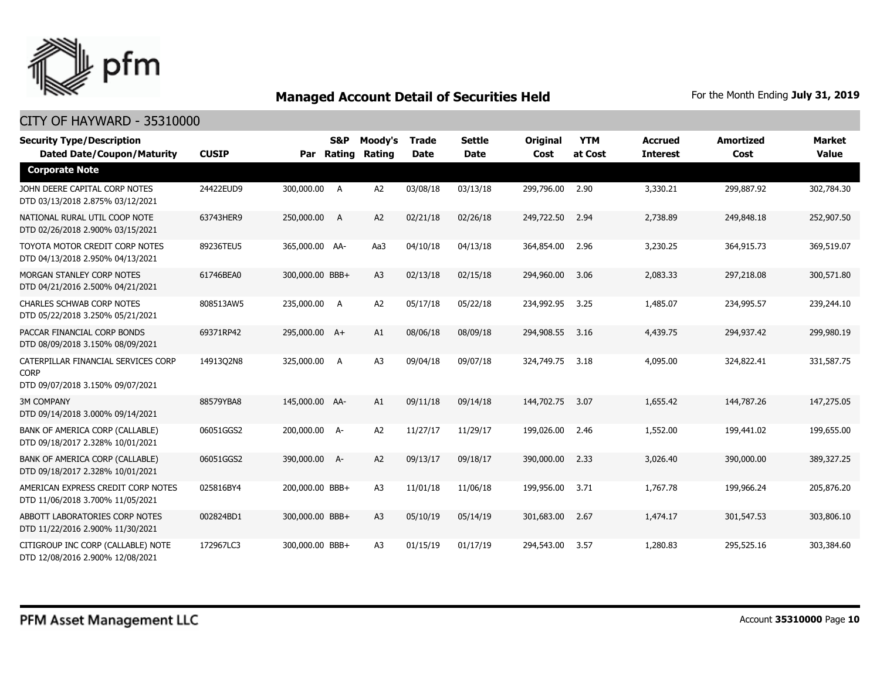

| <b>Security Type/Description</b><br><b>Dated Date/Coupon/Maturity</b>                  | <b>CUSIP</b> | Par             | S&P<br>Rating | Moody's<br><b>Rating</b> | Trade<br><b>Date</b> | <b>Settle</b><br><b>Date</b> | <b>Original</b><br>Cost | <b>YTM</b><br>at Cost | <b>Accrued</b><br><b>Interest</b> | <b>Amortized</b><br>Cost | <b>Market</b><br><b>Value</b> |
|----------------------------------------------------------------------------------------|--------------|-----------------|---------------|--------------------------|----------------------|------------------------------|-------------------------|-----------------------|-----------------------------------|--------------------------|-------------------------------|
| <b>Corporate Note</b>                                                                  |              |                 |               |                          |                      |                              |                         |                       |                                   |                          |                               |
| JOHN DEERE CAPITAL CORP NOTES<br>DTD 03/13/2018 2.875% 03/12/2021                      | 24422EUD9    | 300,000.00 A    |               | A2                       | 03/08/18             | 03/13/18                     | 299,796.00              | 2.90                  | 3,330.21                          | 299,887.92               | 302,784.30                    |
| NATIONAL RURAL UTIL COOP NOTE<br>DTD 02/26/2018 2.900% 03/15/2021                      | 63743HER9    | 250,000.00 A    |               | A <sub>2</sub>           | 02/21/18             | 02/26/18                     | 249,722.50              | 2.94                  | 2,738.89                          | 249,848.18               | 252,907.50                    |
| TOYOTA MOTOR CREDIT CORP NOTES<br>DTD 04/13/2018 2.950% 04/13/2021                     | 89236TEU5    | 365,000.00 AA-  |               | Aa3                      | 04/10/18             | 04/13/18                     | 364,854.00              | 2.96                  | 3,230.25                          | 364,915.73               | 369,519.07                    |
| MORGAN STANLEY CORP NOTES<br>DTD 04/21/2016 2.500% 04/21/2021                          | 61746BEA0    | 300,000.00 BBB+ |               | A <sub>3</sub>           | 02/13/18             | 02/15/18                     | 294,960.00              | 3.06                  | 2,083.33                          | 297,218.08               | 300,571.80                    |
| <b>CHARLES SCHWAB CORP NOTES</b><br>DTD 05/22/2018 3.250% 05/21/2021                   | 808513AW5    | 235,000.00 A    |               | A <sub>2</sub>           | 05/17/18             | 05/22/18                     | 234,992.95              | 3.25                  | 1,485.07                          | 234,995.57               | 239,244.10                    |
| PACCAR FINANCIAL CORP BONDS<br>DTD 08/09/2018 3.150% 08/09/2021                        | 69371RP42    | 295,000.00 A+   |               | A1                       | 08/06/18             | 08/09/18                     | 294,908.55 3.16         |                       | 4,439.75                          | 294,937.42               | 299,980.19                    |
| CATERPILLAR FINANCIAL SERVICES CORP<br><b>CORP</b><br>DTD 09/07/2018 3.150% 09/07/2021 | 14913Q2N8    | 325,000.00 A    |               | A <sub>3</sub>           | 09/04/18             | 09/07/18                     | 324,749.75              | 3.18                  | 4,095.00                          | 324,822.41               | 331,587.75                    |
| <b>3M COMPANY</b><br>DTD 09/14/2018 3.000% 09/14/2021                                  | 88579YBA8    | 145,000.00 AA-  |               | A1                       | 09/11/18             | 09/14/18                     | 144,702.75              | 3.07                  | 1,655.42                          | 144,787.26               | 147,275.05                    |
| BANK OF AMERICA CORP (CALLABLE)<br>DTD 09/18/2017 2.328% 10/01/2021                    | 06051GGS2    | 200,000.00 A-   |               | A <sub>2</sub>           | 11/27/17             | 11/29/17                     | 199,026.00              | 2.46                  | 1,552.00                          | 199,441.02               | 199,655.00                    |
| BANK OF AMERICA CORP (CALLABLE)<br>DTD 09/18/2017 2.328% 10/01/2021                    | 06051GGS2    | 390,000.00 A-   |               | A <sub>2</sub>           | 09/13/17             | 09/18/17                     | 390,000.00              | 2.33                  | 3,026.40                          | 390,000,00               | 389,327.25                    |
| AMERICAN EXPRESS CREDIT CORP NOTES<br>DTD 11/06/2018 3.700% 11/05/2021                 | 025816BY4    | 200,000.00 BBB+ |               | A3                       | 11/01/18             | 11/06/18                     | 199,956.00              | 3.71                  | 1,767.78                          | 199,966.24               | 205,876.20                    |
| ABBOTT LABORATORIES CORP NOTES<br>DTD 11/22/2016 2.900% 11/30/2021                     | 002824BD1    | 300,000.00 BBB+ |               | A <sub>3</sub>           | 05/10/19             | 05/14/19                     | 301,683.00              | 2.67                  | 1,474.17                          | 301,547.53               | 303,806.10                    |
| CITIGROUP INC CORP (CALLABLE) NOTE<br>DTD 12/08/2016 2.900% 12/08/2021                 | 172967LC3    | 300,000.00 BBB+ |               | A <sub>3</sub>           | 01/15/19             | 01/17/19                     | 294,543.00              | 3.57                  | 1,280.83                          | 295,525.16               | 303,384.60                    |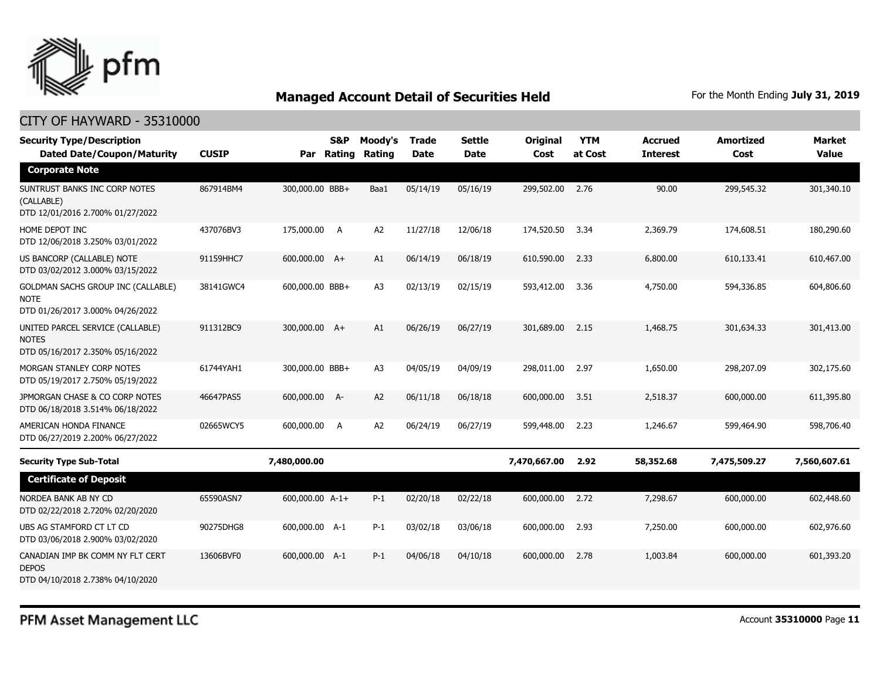

| <b>Security Type/Description</b><br><b>Dated Date/Coupon/Maturity</b>                 | <b>CUSIP</b> |                 | <b>S&amp;P</b><br>Par Rating | Moody's<br>Rating | <b>Trade</b><br><b>Date</b> | <b>Settle</b><br><b>Date</b> | Original<br>Cost | <b>YTM</b><br>at Cost | <b>Accrued</b><br><b>Interest</b> | <b>Amortized</b><br>Cost | <b>Market</b><br><b>Value</b> |
|---------------------------------------------------------------------------------------|--------------|-----------------|------------------------------|-------------------|-----------------------------|------------------------------|------------------|-----------------------|-----------------------------------|--------------------------|-------------------------------|
| <b>Corporate Note</b>                                                                 |              |                 |                              |                   |                             |                              |                  |                       |                                   |                          |                               |
| SUNTRUST BANKS INC CORP NOTES<br>(CALLABLE)<br>DTD 12/01/2016 2.700% 01/27/2022       | 867914BM4    | 300,000.00 BBB+ |                              | Baa1              | 05/14/19                    | 05/16/19                     | 299,502.00       | 2.76                  | 90.00                             | 299,545.32               | 301,340.10                    |
| HOME DEPOT INC<br>DTD 12/06/2018 3.250% 03/01/2022                                    | 437076BV3    | 175,000.00      | A                            | A <sub>2</sub>    | 11/27/18                    | 12/06/18                     | 174,520.50       | 3.34                  | 2,369.79                          | 174,608.51               | 180,290.60                    |
| US BANCORP (CALLABLE) NOTE<br>DTD 03/02/2012 3.000% 03/15/2022                        | 91159HHC7    | 600,000.00 A+   |                              | A1                | 06/14/19                    | 06/18/19                     | 610,590.00       | 2.33                  | 6,800.00                          | 610.133.41               | 610,467.00                    |
| GOLDMAN SACHS GROUP INC (CALLABLE)<br><b>NOTE</b><br>DTD 01/26/2017 3.000% 04/26/2022 | 38141GWC4    | 600,000.00 BBB+ |                              | A <sub>3</sub>    | 02/13/19                    | 02/15/19                     | 593,412.00       | 3.36                  | 4,750.00                          | 594,336.85               | 604,806.60                    |
| UNITED PARCEL SERVICE (CALLABLE)<br><b>NOTES</b><br>DTD 05/16/2017 2.350% 05/16/2022  | 911312BC9    | 300,000.00 A+   |                              | A1                | 06/26/19                    | 06/27/19                     | 301,689.00       | 2.15                  | 1,468.75                          | 301,634.33               | 301,413.00                    |
| MORGAN STANLEY CORP NOTES<br>DTD 05/19/2017 2.750% 05/19/2022                         | 61744YAH1    | 300,000.00 BBB+ |                              | A <sub>3</sub>    | 04/05/19                    | 04/09/19                     | 298,011.00       | 2.97                  | 1,650.00                          | 298,207.09               | 302,175.60                    |
| JPMORGAN CHASE & CO CORP NOTES<br>DTD 06/18/2018 3.514% 06/18/2022                    | 46647PAS5    | 600,000.00 A-   |                              | A2                | 06/11/18                    | 06/18/18                     | 600,000.00       | 3.51                  | 2,518.37                          | 600,000.00               | 611,395.80                    |
| AMERICAN HONDA FINANCE<br>DTD 06/27/2019 2.200% 06/27/2022                            | 02665WCY5    | 600,000.00      | A                            | A <sub>2</sub>    | 06/24/19                    | 06/27/19                     | 599,448.00       | 2.23                  | 1,246.67                          | 599,464.90               | 598,706.40                    |
| <b>Security Type Sub-Total</b>                                                        |              | 7,480,000.00    |                              |                   |                             |                              | 7,470,667.00     | 2.92                  | 58,352.68                         | 7,475,509.27             | 7,560,607.61                  |
| <b>Certificate of Deposit</b>                                                         |              |                 |                              |                   |                             |                              |                  |                       |                                   |                          |                               |
| NORDEA BANK AB NY CD<br>DTD 02/22/2018 2.720% 02/20/2020                              | 65590ASN7    | 600,000.00 A-1+ |                              | $P-1$             | 02/20/18                    | 02/22/18                     | 600,000.00       | 2.72                  | 7,298.67                          | 600,000.00               | 602,448.60                    |
| UBS AG STAMFORD CT LT CD<br>DTD 03/06/2018 2.900% 03/02/2020                          | 90275DHG8    | 600,000.00 A-1  |                              | $P-1$             | 03/02/18                    | 03/06/18                     | 600,000.00       | 2.93                  | 7,250.00                          | 600,000.00               | 602,976.60                    |
| CANADIAN IMP BK COMM NY FLT CERT<br><b>DEPOS</b><br>DTD 04/10/2018 2.738% 04/10/2020  | 13606BVF0    | 600,000.00 A-1  |                              | $P-1$             | 04/06/18                    | 04/10/18                     | 600,000.00       | 2.78                  | 1,003.84                          | 600,000.00               | 601,393.20                    |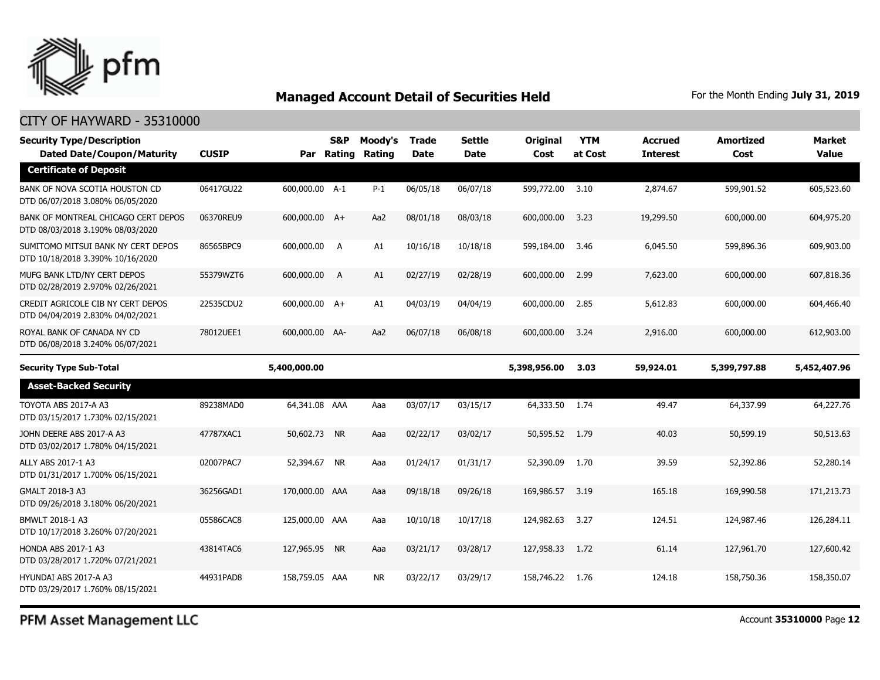

#### CITY OF HAYWARD - 35310000

| <b>Security Type/Description</b><br><b>Dated Date/Coupon/Maturity</b>   | <b>CUSIP</b> |                | <b>S&amp;P</b><br>Par Rating | Moody's<br>Rating | <b>Trade</b><br><b>Date</b> | Settle<br><b>Date</b> | <b>Original</b><br>Cost | <b>YTM</b><br>at Cost | <b>Accrued</b><br><b>Interest</b> | <b>Amortized</b><br>Cost | <b>Market</b><br>Value |
|-------------------------------------------------------------------------|--------------|----------------|------------------------------|-------------------|-----------------------------|-----------------------|-------------------------|-----------------------|-----------------------------------|--------------------------|------------------------|
| <b>Certificate of Deposit</b>                                           |              |                |                              |                   |                             |                       |                         |                       |                                   |                          |                        |
| BANK OF NOVA SCOTIA HOUSTON CD<br>DTD 06/07/2018 3.080% 06/05/2020      | 06417GU22    | 600,000.00 A-1 |                              | $P-1$             | 06/05/18                    | 06/07/18              | 599,772.00              | 3.10                  | 2,874.67                          | 599,901.52               | 605,523.60             |
| BANK OF MONTREAL CHICAGO CERT DEPOS<br>DTD 08/03/2018 3.190% 08/03/2020 | 06370REU9    | 600,000.00 A+  |                              | Aa2               | 08/01/18                    | 08/03/18              | 600,000.00              | 3.23                  | 19,299.50                         | 600,000.00               | 604,975.20             |
| SUMITOMO MITSUI BANK NY CERT DEPOS<br>DTD 10/18/2018 3.390% 10/16/2020  | 86565BPC9    | 600,000.00 A   |                              | A1                | 10/16/18                    | 10/18/18              | 599,184.00              | 3.46                  | 6,045.50                          | 599,896.36               | 609,903.00             |
| MUFG BANK LTD/NY CERT DEPOS<br>DTD 02/28/2019 2.970% 02/26/2021         | 55379WZT6    | 600,000.00     | A                            | A1                | 02/27/19                    | 02/28/19              | 600,000.00              | 2.99                  | 7,623.00                          | 600,000.00               | 607,818.36             |
| CREDIT AGRICOLE CIB NY CERT DEPOS<br>DTD 04/04/2019 2.830% 04/02/2021   | 22535CDU2    | 600,000.00 A+  |                              | A1                | 04/03/19                    | 04/04/19              | 600,000.00              | 2.85                  | 5,612.83                          | 600,000.00               | 604,466,40             |
| ROYAL BANK OF CANADA NY CD<br>DTD 06/08/2018 3.240% 06/07/2021          | 78012UEE1    | 600,000.00 AA- |                              | Aa2               | 06/07/18                    | 06/08/18              | 600,000.00              | 3.24                  | 2,916.00                          | 600,000.00               | 612,903.00             |
| <b>Security Type Sub-Total</b>                                          |              | 5,400,000.00   |                              |                   |                             |                       | 5,398,956.00            | 3.03                  | 59,924.01                         | 5,399,797.88             | 5,452,407.96           |
| <b>Asset-Backed Security</b>                                            |              |                |                              |                   |                             |                       |                         |                       |                                   |                          |                        |
| TOYOTA ABS 2017-A A3<br>DTD 03/15/2017 1.730% 02/15/2021                | 89238MAD0    | 64,341.08 AAA  |                              | Aaa               | 03/07/17                    | 03/15/17              | 64,333.50               | 1.74                  | 49.47                             | 64,337.99                | 64,227.76              |
| JOHN DEERE ABS 2017-A A3<br>DTD 03/02/2017 1.780% 04/15/2021            | 47787XAC1    | 50,602.73 NR   |                              | Aaa               | 02/22/17                    | 03/02/17              | 50,595.52               | 1.79                  | 40.03                             | 50,599.19                | 50,513.63              |
| ALLY ABS 2017-1 A3<br>DTD 01/31/2017 1.700% 06/15/2021                  | 02007PAC7    | 52,394.67 NR   |                              | Aaa               | 01/24/17                    | 01/31/17              | 52,390.09               | 1.70                  | 39.59                             | 52,392.86                | 52,280.14              |
| GMALT 2018-3 A3<br>DTD 09/26/2018 3.180% 06/20/2021                     | 36256GAD1    | 170,000.00 AAA |                              | Aaa               | 09/18/18                    | 09/26/18              | 169,986.57              | 3.19                  | 165.18                            | 169,990.58               | 171,213.73             |
| BMWLT 2018-1 A3<br>DTD 10/17/2018 3.260% 07/20/2021                     | 05586CAC8    | 125,000.00 AAA |                              | Aaa               | 10/10/18                    | 10/17/18              | 124,982.63              | 3.27                  | 124.51                            | 124,987.46               | 126,284.11             |
| <b>HONDA ABS 2017-1 A3</b><br>DTD 03/28/2017 1.720% 07/21/2021          | 43814TAC6    | 127,965.95 NR  |                              | Aaa               | 03/21/17                    | 03/28/17              | 127,958.33              | 1.72                  | 61.14                             | 127,961.70               | 127,600.42             |
| HYUNDAI ABS 2017-A A3<br>DTD 03/29/2017 1.760% 08/15/2021               | 44931PAD8    | 158,759.05 AAA |                              | <b>NR</b>         | 03/22/17                    | 03/29/17              | 158,746.22              | 1.76                  | 124.18                            | 158,750.36               | 158,350.07             |

PFM Asset Management LLC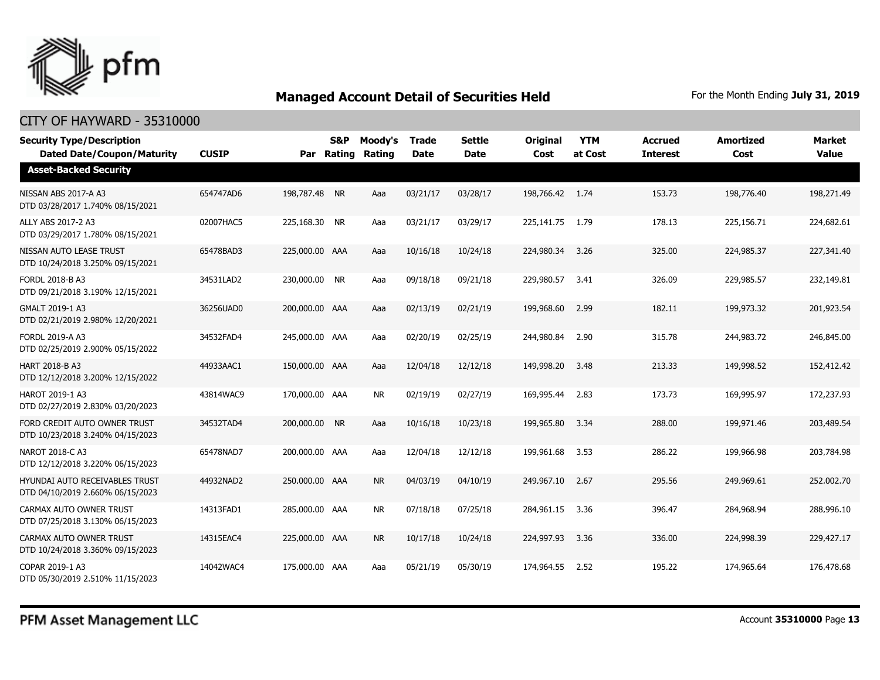

| <b>Security Type/Description</b><br><b>Dated Date/Coupon/Maturity</b> | <b>CUSIP</b> |                | <b>S&amp;P</b><br>Par Rating | Moody's<br><b>Rating</b> | <b>Trade</b><br><b>Date</b> | <b>Settle</b><br><b>Date</b> | <b>Original</b><br>Cost | <b>YTM</b><br>at Cost | <b>Accrued</b><br><b>Interest</b> | <b>Amortized</b><br>Cost | <b>Market</b><br><b>Value</b> |
|-----------------------------------------------------------------------|--------------|----------------|------------------------------|--------------------------|-----------------------------|------------------------------|-------------------------|-----------------------|-----------------------------------|--------------------------|-------------------------------|
| <b>Asset-Backed Security</b>                                          |              |                |                              |                          |                             |                              |                         |                       |                                   |                          |                               |
| NISSAN ABS 2017-A A3<br>DTD 03/28/2017 1.740% 08/15/2021              | 654747AD6    | 198,787.48 NR  |                              | Aaa                      | 03/21/17                    | 03/28/17                     | 198,766.42 1.74         |                       | 153.73                            | 198,776.40               | 198,271.49                    |
| ALLY ABS 2017-2 A3<br>DTD 03/29/2017 1.780% 08/15/2021                | 02007HAC5    | 225,168.30 NR  |                              | Aaa                      | 03/21/17                    | 03/29/17                     | 225,141.75              | 1.79                  | 178.13                            | 225,156.71               | 224,682.61                    |
| NISSAN AUTO LEASE TRUST<br>DTD 10/24/2018 3.250% 09/15/2021           | 65478BAD3    | 225,000.00 AAA |                              | Aaa                      | 10/16/18                    | 10/24/18                     | 224,980.34              | 3.26                  | 325.00                            | 224,985.37               | 227,341.40                    |
| FORDL 2018-B A3<br>DTD 09/21/2018 3.190% 12/15/2021                   | 34531LAD2    | 230,000.00 NR  |                              | Aaa                      | 09/18/18                    | 09/21/18                     | 229,980.57              | 3.41                  | 326.09                            | 229,985.57               | 232,149.81                    |
| GMALT 2019-1 A3<br>DTD 02/21/2019 2.980% 12/20/2021                   | 36256UAD0    | 200,000.00 AAA |                              | Aaa                      | 02/13/19                    | 02/21/19                     | 199,968.60              | 2.99                  | 182.11                            | 199,973.32               | 201,923.54                    |
| <b>FORDL 2019-A A3</b><br>DTD 02/25/2019 2.900% 05/15/2022            | 34532FAD4    | 245,000.00 AAA |                              | Aaa                      | 02/20/19                    | 02/25/19                     | 244,980.84              | 2.90                  | 315.78                            | 244,983.72               | 246,845.00                    |
| <b>HART 2018-B A3</b><br>DTD 12/12/2018 3.200% 12/15/2022             | 44933AAC1    | 150,000.00 AAA |                              | Aaa                      | 12/04/18                    | 12/12/18                     | 149,998.20              | 3.48                  | 213.33                            | 149,998.52               | 152,412.42                    |
| <b>HAROT 2019-1 A3</b><br>DTD 02/27/2019 2.830% 03/20/2023            | 43814WAC9    | 170,000.00 AAA |                              | <b>NR</b>                | 02/19/19                    | 02/27/19                     | 169,995.44              | 2.83                  | 173.73                            | 169,995.97               | 172,237.93                    |
| FORD CREDIT AUTO OWNER TRUST<br>DTD 10/23/2018 3.240% 04/15/2023      | 34532TAD4    | 200,000.00 NR  |                              | Aaa                      | 10/16/18                    | 10/23/18                     | 199,965.80              | 3.34                  | 288.00                            | 199,971.46               | 203,489.54                    |
| NAROT 2018-C A3<br>DTD 12/12/2018 3.220% 06/15/2023                   | 65478NAD7    | 200,000.00 AAA |                              | Aaa                      | 12/04/18                    | 12/12/18                     | 199,961.68              | 3.53                  | 286.22                            | 199,966.98               | 203,784.98                    |
| HYUNDAI AUTO RECEIVABLES TRUST<br>DTD 04/10/2019 2.660% 06/15/2023    | 44932NAD2    | 250,000.00 AAA |                              | <b>NR</b>                | 04/03/19                    | 04/10/19                     | 249,967.10              | 2.67                  | 295.56                            | 249,969.61               | 252,002.70                    |
| CARMAX AUTO OWNER TRUST<br>DTD 07/25/2018 3.130% 06/15/2023           | 14313FAD1    | 285,000.00 AAA |                              | <b>NR</b>                | 07/18/18                    | 07/25/18                     | 284,961.15              | 3.36                  | 396.47                            | 284,968.94               | 288,996.10                    |
| CARMAX AUTO OWNER TRUST<br>DTD 10/24/2018 3.360% 09/15/2023           | 14315EAC4    | 225,000.00 AAA |                              | <b>NR</b>                | 10/17/18                    | 10/24/18                     | 224,997.93              | 3.36                  | 336.00                            | 224,998.39               | 229,427.17                    |
| COPAR 2019-1 A3<br>DTD 05/30/2019 2.510% 11/15/2023                   | 14042WAC4    | 175,000.00 AAA |                              | Aaa                      | 05/21/19                    | 05/30/19                     | 174,964.55              | 2.52                  | 195.22                            | 174,965.64               | 176,478.68                    |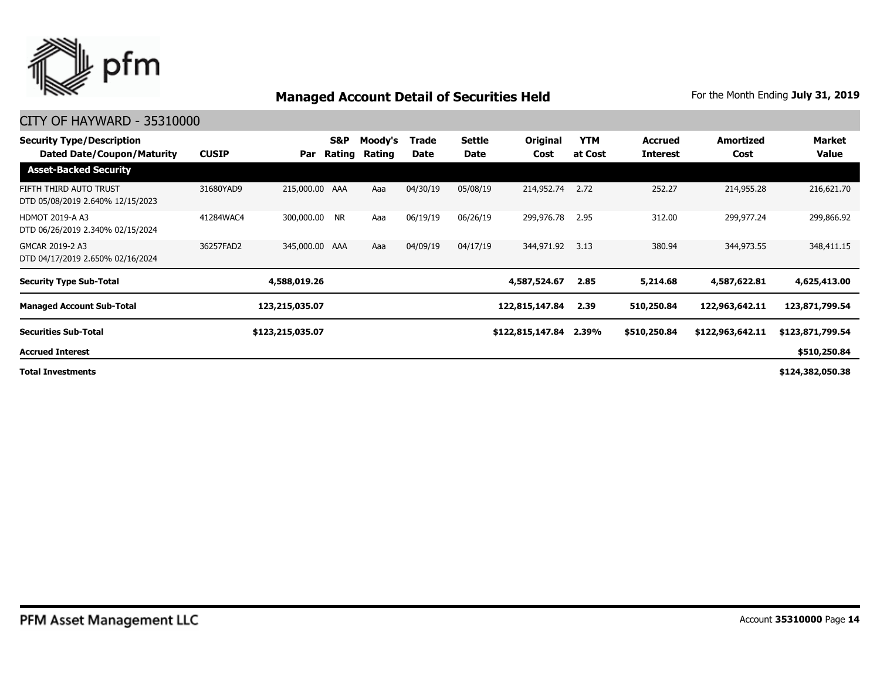

#### CITY OF HAYWARD - 35310000

| <b>Security Type/Description</b><br>Dated Date/Coupon/Maturity | <b>CUSIP</b> | Par              | S&P<br>Rating | Moody's<br>Rating | Trade<br>Date | Settle<br>Date | Original<br>Cost | <b>YTM</b><br>at Cost | <b>Accrued</b><br><b>Interest</b> | Amortized<br>Cost | Market<br>Value  |
|----------------------------------------------------------------|--------------|------------------|---------------|-------------------|---------------|----------------|------------------|-----------------------|-----------------------------------|-------------------|------------------|
| <b>Asset-Backed Security</b>                                   |              |                  |               |                   |               |                |                  |                       |                                   |                   |                  |
| FIFTH THIRD AUTO TRUST<br>DTD 05/08/2019 2.640% 12/15/2023     | 31680YAD9    | 215,000.00 AAA   |               | Aaa               | 04/30/19      | 05/08/19       | 214,952.74       | 2.72                  | 252.27                            | 214,955.28        | 216,621.70       |
| <b>HDMOT 2019-A A3</b><br>DTD 06/26/2019 2.340% 02/15/2024     | 41284WAC4    | 300,000.00 NR    |               | Aaa               | 06/19/19      | 06/26/19       | 299,976.78       | 2.95                  | 312.00                            | 299,977.24        | 299,866.92       |
| GMCAR 2019-2 A3<br>DTD 04/17/2019 2.650% 02/16/2024            | 36257FAD2    | 345,000.00 AAA   |               | Aaa               | 04/09/19      | 04/17/19       | 344,971.92       | 3.13                  | 380.94                            | 344,973.55        | 348,411.15       |
| <b>Security Type Sub-Total</b>                                 |              | 4,588,019.26     |               |                   |               |                | 4,587,524.67     | 2.85                  | 5,214.68                          | 4,587,622.81      | 4,625,413.00     |
| <b>Managed Account Sub-Total</b>                               |              | 123,215,035.07   |               |                   |               |                | 122,815,147.84   | 2.39                  | 510,250.84                        | 122,963,642.11    | 123,871,799.54   |
| <b>Securities Sub-Total</b>                                    |              | \$123,215,035.07 |               |                   |               |                | \$122,815,147.84 | 2.39%                 | \$510,250.84                      | \$122,963,642.11  | \$123,871,799.54 |
| <b>Accrued Interest</b>                                        |              |                  |               |                   |               |                |                  |                       |                                   |                   | \$510,250.84     |
|                                                                |              |                  |               |                   |               |                |                  |                       |                                   |                   |                  |

**Total Investments**

**\$124,382,050.38**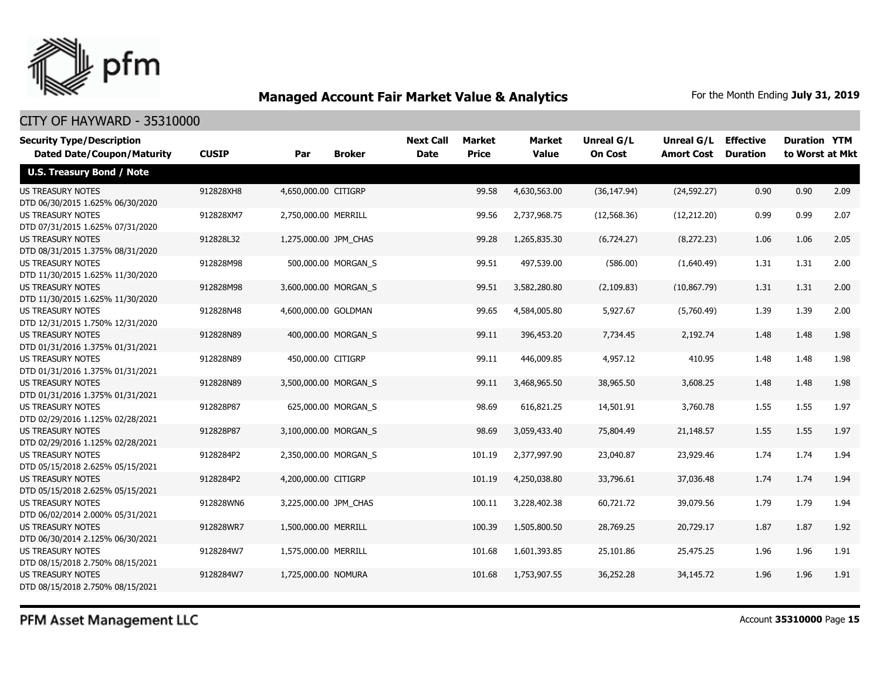

### CITY OF HAYWARD - 35310000

| <b>Security Type/Description</b><br><b>Dated Date/Coupon/Maturity</b> | <b>CUSIP</b> | Par                   | <b>Broker</b>       | <b>Next Call</b><br><b>Date</b> | Market<br><b>Price</b> | <b>Market</b><br><b>Value</b> | Unreal G/L<br><b>On Cost</b> | Unreal G/L<br><b>Amort Cost</b> | <b>Effective</b><br><b>Duration</b> | <b>Duration YTM</b><br>to Worst at Mkt |      |
|-----------------------------------------------------------------------|--------------|-----------------------|---------------------|---------------------------------|------------------------|-------------------------------|------------------------------|---------------------------------|-------------------------------------|----------------------------------------|------|
| <b>U.S. Treasury Bond / Note</b>                                      |              |                       |                     |                                 |                        |                               |                              |                                 |                                     |                                        |      |
| <b>US TREASURY NOTES</b><br>DTD 06/30/2015 1.625% 06/30/2020          | 912828XH8    | 4,650,000.00 CITIGRP  |                     |                                 | 99.58                  | 4,630,563.00                  | (36, 147.94)                 | (24, 592.27)                    | 0.90                                | 0.90                                   | 2.09 |
| <b>US TREASURY NOTES</b><br>DTD 07/31/2015 1.625% 07/31/2020          | 912828XM7    | 2,750,000.00 MERRILL  |                     |                                 | 99.56                  | 2,737,968.75                  | (12, 568.36)                 | (12, 212.20)                    | 0.99                                | 0.99                                   | 2.07 |
| <b>US TREASURY NOTES</b><br>DTD 08/31/2015 1.375% 08/31/2020          | 912828L32    | 1,275,000.00 JPM_CHAS |                     |                                 | 99.28                  | 1,265,835.30                  | (6,724.27)                   | (8, 272.23)                     | 1.06                                | 1.06                                   | 2.05 |
| <b>US TREASURY NOTES</b><br>DTD 11/30/2015 1.625% 11/30/2020          | 912828M98    |                       | 500,000.00 MORGAN_S |                                 | 99.51                  | 497,539.00                    | (586.00)                     | (1,640.49)                      | 1.31                                | 1.31                                   | 2.00 |
| <b>US TREASURY NOTES</b><br>DTD 11/30/2015 1.625% 11/30/2020          | 912828M98    | 3,600,000.00 MORGAN_S |                     |                                 | 99.51                  | 3,582,280.80                  | (2, 109.83)                  | (10, 867.79)                    | 1.31                                | 1.31                                   | 2.00 |
| <b>US TREASURY NOTES</b><br>DTD 12/31/2015 1.750% 12/31/2020          | 912828N48    | 4,600,000.00 GOLDMAN  |                     |                                 | 99.65                  | 4,584,005.80                  | 5,927.67                     | (5,760.49)                      | 1.39                                | 1.39                                   | 2.00 |
| <b>US TREASURY NOTES</b><br>DTD 01/31/2016 1.375% 01/31/2021          | 912828N89    |                       | 400,000.00 MORGAN_S |                                 | 99.11                  | 396,453.20                    | 7,734.45                     | 2,192.74                        | 1.48                                | 1.48                                   | 1.98 |
| <b>US TREASURY NOTES</b><br>DTD 01/31/2016 1.375% 01/31/2021          | 912828N89    | 450,000.00 CITIGRP    |                     |                                 | 99.11                  | 446,009.85                    | 4,957.12                     | 410.95                          | 1.48                                | 1.48                                   | 1.98 |
| <b>US TREASURY NOTES</b><br>DTD 01/31/2016 1.375% 01/31/2021          | 912828N89    | 3,500,000.00 MORGAN S |                     |                                 | 99.11                  | 3,468,965.50                  | 38,965.50                    | 3,608.25                        | 1.48                                | 1.48                                   | 1.98 |
| <b>US TREASURY NOTES</b><br>DTD 02/29/2016 1.125% 02/28/2021          | 912828P87    |                       | 625,000.00 MORGAN S |                                 | 98.69                  | 616,821.25                    | 14,501.91                    | 3,760.78                        | 1.55                                | 1.55                                   | 1.97 |
| <b>US TREASURY NOTES</b><br>DTD 02/29/2016 1.125% 02/28/2021          | 912828P87    | 3,100,000.00 MORGAN S |                     |                                 | 98.69                  | 3,059,433.40                  | 75,804.49                    | 21,148.57                       | 1.55                                | 1.55                                   | 1.97 |
| <b>US TREASURY NOTES</b><br>DTD 05/15/2018 2.625% 05/15/2021          | 9128284P2    | 2,350,000.00 MORGAN S |                     |                                 | 101.19                 | 2,377,997.90                  | 23,040.87                    | 23,929.46                       | 1.74                                | 1.74                                   | 1.94 |
| <b>US TREASURY NOTES</b><br>DTD 05/15/2018 2.625% 05/15/2021          | 9128284P2    | 4,200,000.00 CITIGRP  |                     |                                 | 101.19                 | 4,250,038.80                  | 33,796.61                    | 37,036.48                       | 1.74                                | 1.74                                   | 1.94 |
| <b>US TREASURY NOTES</b><br>DTD 06/02/2014 2.000% 05/31/2021          | 912828WN6    | 3,225,000.00 JPM_CHAS |                     |                                 | 100.11                 | 3,228,402.38                  | 60,721.72                    | 39,079.56                       | 1.79                                | 1.79                                   | 1.94 |
| <b>US TREASURY NOTES</b><br>DTD 06/30/2014 2.125% 06/30/2021          | 912828WR7    | 1,500,000.00 MERRILL  |                     |                                 | 100.39                 | 1,505,800.50                  | 28,769.25                    | 20,729.17                       | 1.87                                | 1.87                                   | 1.92 |
| <b>US TREASURY NOTES</b><br>DTD 08/15/2018 2.750% 08/15/2021          | 9128284W7    | 1,575,000.00 MERRILL  |                     |                                 | 101.68                 | 1,601,393.85                  | 25,101.86                    | 25,475.25                       | 1.96                                | 1.96                                   | 1.91 |
| <b>US TREASURY NOTES</b><br>DTD 08/15/2018 2.750% 08/15/2021          | 9128284W7    | 1,725,000.00 NOMURA   |                     |                                 | 101.68                 | 1,753,907.55                  | 36,252.28                    | 34,145.72                       | 1.96                                | 1.96                                   | 1.91 |

PFM Asset Management LLC

Account **35310000** Page **15**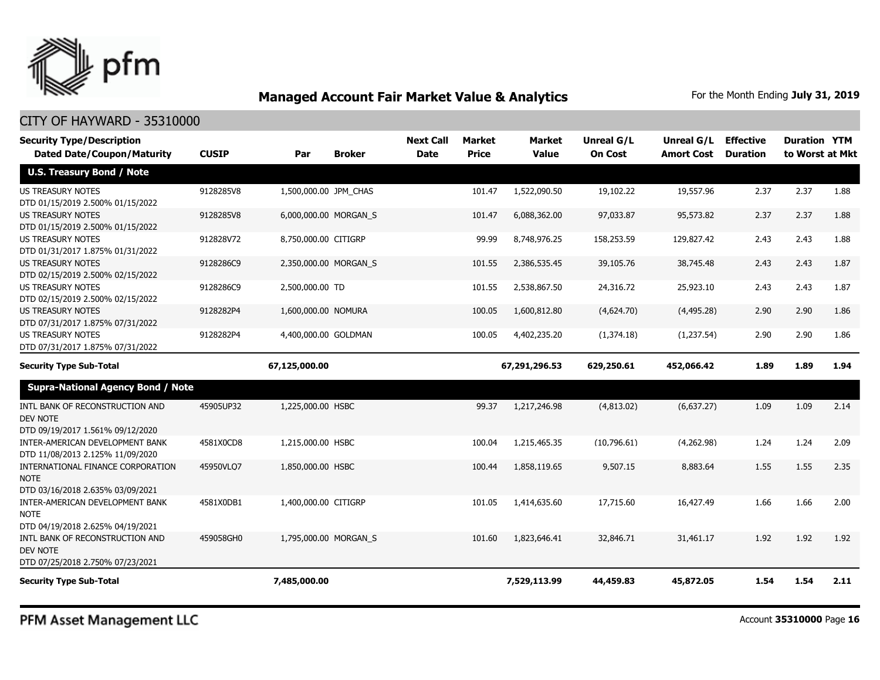

| <b>Security Type/Description</b><br><b>Dated Date/Coupon/Maturity</b>                  | <b>CUSIP</b> | Par                   | <b>Broker</b> | <b>Next Call</b><br><b>Date</b> | <b>Market</b><br><b>Price</b> | <b>Market</b><br><b>Value</b> | Unreal G/L<br><b>On Cost</b> | Unreal G/L<br><b>Amort Cost</b> | <b>Effective</b><br><b>Duration</b> | <b>Duration YTM</b><br>to Worst at Mkt |      |
|----------------------------------------------------------------------------------------|--------------|-----------------------|---------------|---------------------------------|-------------------------------|-------------------------------|------------------------------|---------------------------------|-------------------------------------|----------------------------------------|------|
| <b>U.S. Treasury Bond / Note</b>                                                       |              |                       |               |                                 |                               |                               |                              |                                 |                                     |                                        |      |
| <b>US TREASURY NOTES</b><br>DTD 01/15/2019 2.500% 01/15/2022                           | 9128285V8    | 1,500,000.00 JPM CHAS |               |                                 | 101.47                        | 1,522,090.50                  | 19,102.22                    | 19,557.96                       | 2.37                                | 2.37                                   | 1.88 |
| US TREASURY NOTES<br>DTD 01/15/2019 2.500% 01/15/2022                                  | 9128285V8    | 6,000,000.00 MORGAN S |               |                                 | 101.47                        | 6,088,362.00                  | 97,033.87                    | 95,573.82                       | 2.37                                | 2.37                                   | 1.88 |
| <b>US TREASURY NOTES</b><br>DTD 01/31/2017 1.875% 01/31/2022                           | 912828V72    | 8,750,000.00 CITIGRP  |               |                                 | 99.99                         | 8,748,976.25                  | 158,253.59                   | 129,827.42                      | 2.43                                | 2.43                                   | 1.88 |
| <b>US TREASURY NOTES</b><br>DTD 02/15/2019 2.500% 02/15/2022                           | 9128286C9    | 2,350,000.00 MORGAN_S |               |                                 | 101.55                        | 2,386,535.45                  | 39,105.76                    | 38,745.48                       | 2.43                                | 2.43                                   | 1.87 |
| <b>US TREASURY NOTES</b><br>DTD 02/15/2019 2.500% 02/15/2022                           | 9128286C9    | 2,500,000.00 TD       |               |                                 | 101.55                        | 2,538,867.50                  | 24,316.72                    | 25,923.10                       | 2.43                                | 2.43                                   | 1.87 |
| <b>US TREASURY NOTES</b><br>DTD 07/31/2017 1.875% 07/31/2022                           | 9128282P4    | 1,600,000.00 NOMURA   |               |                                 | 100.05                        | 1,600,812.80                  | (4,624.70)                   | (4,495.28)                      | 2.90                                | 2.90                                   | 1.86 |
| <b>US TREASURY NOTES</b><br>DTD 07/31/2017 1.875% 07/31/2022                           | 9128282P4    | 4,400,000.00 GOLDMAN  |               |                                 | 100.05                        | 4,402,235.20                  | (1,374.18)                   | (1, 237.54)                     | 2.90                                | 2.90                                   | 1.86 |
| <b>Security Type Sub-Total</b>                                                         |              | 67,125,000.00         |               |                                 |                               | 67,291,296.53                 | 629,250.61                   | 452,066.42                      | 1.89                                | 1.89                                   | 1.94 |
| <b>Supra-National Agency Bond / Note</b>                                               |              |                       |               |                                 |                               |                               |                              |                                 |                                     |                                        |      |
| INTL BANK OF RECONSTRUCTION AND<br><b>DEV NOTE</b><br>DTD 09/19/2017 1.561% 09/12/2020 | 45905UP32    | 1,225,000.00 HSBC     |               |                                 | 99.37                         | 1,217,246.98                  | (4,813.02)                   | (6,637.27)                      | 1.09                                | 1.09                                   | 2.14 |
| INTER-AMERICAN DEVELOPMENT BANK<br>DTD 11/08/2013 2.125% 11/09/2020                    | 4581X0CD8    | 1,215,000.00 HSBC     |               |                                 | 100.04                        | 1,215,465.35                  | (10,796.61)                  | (4,262.98)                      | 1.24                                | 1.24                                   | 2.09 |
| INTERNATIONAL FINANCE CORPORATION<br><b>NOTE</b><br>DTD 03/16/2018 2.635% 03/09/2021   | 45950VLQ7    | 1,850,000.00 HSBC     |               |                                 | 100.44                        | 1,858,119.65                  | 9,507.15                     | 8,883.64                        | 1.55                                | 1.55                                   | 2.35 |
| INTER-AMERICAN DEVELOPMENT BANK<br><b>NOTE</b><br>DTD 04/19/2018 2.625% 04/19/2021     | 4581X0DB1    | 1,400,000.00 CITIGRP  |               |                                 | 101.05                        | 1,414,635.60                  | 17,715.60                    | 16,427.49                       | 1.66                                | 1.66                                   | 2.00 |
| INTL BANK OF RECONSTRUCTION AND<br><b>DEV NOTE</b><br>DTD 07/25/2018 2.750% 07/23/2021 | 459058GH0    | 1,795,000.00 MORGAN S |               |                                 | 101.60                        | 1,823,646.41                  | 32,846.71                    | 31,461.17                       | 1.92                                | 1.92                                   | 1.92 |
| <b>Security Type Sub-Total</b>                                                         |              | 7,485,000.00          |               |                                 |                               | 7,529,113.99                  | 44,459.83                    | 45,872.05                       | 1.54                                | 1.54                                   | 2.11 |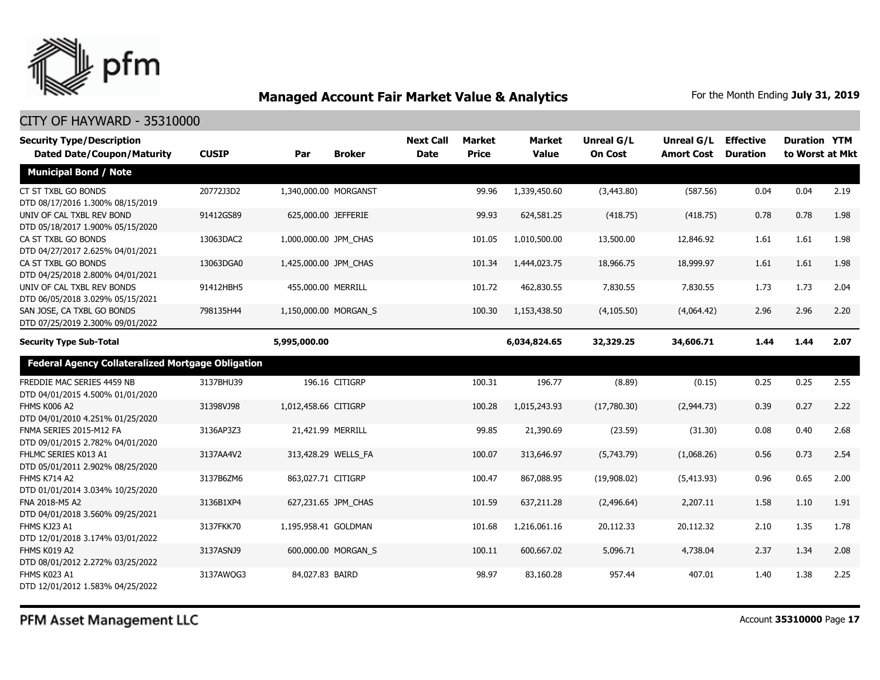

| <b>Security Type/Description</b><br><b>Dated Date/Coupon/Maturity</b> | <b>CUSIP</b> | Par                   | <b>Broker</b>       | <b>Next Call</b><br><b>Date</b> | <b>Market</b><br><b>Price</b> | <b>Market</b><br><b>Value</b> | Unreal G/L<br><b>On Cost</b> | Unreal G/L<br><b>Amort Cost</b> | <b>Effective</b><br><b>Duration</b> | <b>Duration YTM</b><br>to Worst at Mkt |      |
|-----------------------------------------------------------------------|--------------|-----------------------|---------------------|---------------------------------|-------------------------------|-------------------------------|------------------------------|---------------------------------|-------------------------------------|----------------------------------------|------|
| <b>Municipal Bond / Note</b>                                          |              |                       |                     |                                 |                               |                               |                              |                                 |                                     |                                        |      |
| CT ST TXBL GO BONDS<br>DTD 08/17/2016 1.300% 08/15/2019               | 20772J3D2    | 1,340,000.00 MORGANST |                     |                                 | 99.96                         | 1,339,450.60                  | (3,443.80)                   | (587.56)                        | 0.04                                | 0.04                                   | 2.19 |
| UNIV OF CAL TXBL REV BOND<br>DTD 05/18/2017 1.900% 05/15/2020         | 91412GS89    | 625,000.00 JEFFERIE   |                     |                                 | 99.93                         | 624,581.25                    | (418.75)                     | (418.75)                        | 0.78                                | 0.78                                   | 1.98 |
| CA ST TXBL GO BONDS<br>DTD 04/27/2017 2.625% 04/01/2021               | 13063DAC2    | 1,000,000.00 JPM_CHAS |                     |                                 | 101.05                        | 1,010,500.00                  | 13,500.00                    | 12,846.92                       | 1.61                                | 1.61                                   | 1.98 |
| CA ST TXBL GO BONDS<br>DTD 04/25/2018 2.800% 04/01/2021               | 13063DGA0    | 1,425,000.00 JPM_CHAS |                     |                                 | 101.34                        | 1,444,023.75                  | 18,966.75                    | 18,999.97                       | 1.61                                | 1.61                                   | 1.98 |
| UNIV OF CAL TXBL REV BONDS<br>DTD 06/05/2018 3.029% 05/15/2021        | 91412HBH5    | 455,000.00 MERRILL    |                     |                                 | 101.72                        | 462,830.55                    | 7,830.55                     | 7,830.55                        | 1.73                                | 1.73                                   | 2.04 |
| SAN JOSE, CA TXBL GO BONDS<br>DTD 07/25/2019 2.300% 09/01/2022        | 798135H44    | 1,150,000.00 MORGAN_S |                     |                                 | 100.30                        | 1,153,438.50                  | (4, 105.50)                  | (4,064.42)                      | 2.96                                | 2.96                                   | 2.20 |
| <b>Security Type Sub-Total</b>                                        |              | 5,995,000.00          |                     |                                 |                               | 6,034,824.65                  | 32,329.25                    | 34,606.71                       | 1.44                                | 1.44                                   | 2.07 |
| <b>Federal Agency Collateralized Mortgage Obligation</b>              |              |                       |                     |                                 |                               |                               |                              |                                 |                                     |                                        |      |
| FREDDIE MAC SERIES 4459 NB<br>DTD 04/01/2015 4.500% 01/01/2020        | 3137BHU39    |                       | 196.16 CITIGRP      |                                 | 100.31                        | 196.77                        | (8.89)                       | (0.15)                          | 0.25                                | 0.25                                   | 2.55 |
| <b>FHMS K006 A2</b><br>DTD 04/01/2010 4.251% 01/25/2020               | 31398VJ98    | 1,012,458.66 CITIGRP  |                     |                                 | 100.28                        | 1,015,243.93                  | (17,780.30)                  | (2,944.73)                      | 0.39                                | 0.27                                   | 2.22 |
| FNMA SERIES 2015-M12 FA<br>DTD 09/01/2015 2.782% 04/01/2020           | 3136AP3Z3    | 21,421.99 MERRILL     |                     |                                 | 99.85                         | 21,390.69                     | (23.59)                      | (31.30)                         | 0.08                                | 0.40                                   | 2.68 |
| FHLMC SERIES K013 A1<br>DTD 05/01/2011 2.902% 08/25/2020              | 3137AA4V2    |                       | 313,428.29 WELLS_FA |                                 | 100.07                        | 313,646.97                    | (5,743.79)                   | (1,068.26)                      | 0.56                                | 0.73                                   | 2.54 |
| <b>FHMS K714 A2</b><br>DTD 01/01/2014 3.034% 10/25/2020               | 3137B6ZM6    | 863,027.71 CITIGRP    |                     |                                 | 100.47                        | 867,088.95                    | (19,908.02)                  | (5,413.93)                      | 0.96                                | 0.65                                   | 2.00 |
| FNA 2018-M5 A2<br>DTD 04/01/2018 3.560% 09/25/2021                    | 3136B1XP4    |                       | 627,231.65 JPM_CHAS |                                 | 101.59                        | 637,211.28                    | (2,496.64)                   | 2,207.11                        | 1.58                                | 1.10                                   | 1.91 |
| FHMS KJ23 A1<br>DTD 12/01/2018 3.174% 03/01/2022                      | 3137FKK70    | 1,195,958.41 GOLDMAN  |                     |                                 | 101.68                        | 1,216,061.16                  | 20,112.33                    | 20,112.32                       | 2.10                                | 1.35                                   | 1.78 |
| FHMS K019 A2<br>DTD 08/01/2012 2.272% 03/25/2022                      | 3137ASNJ9    |                       | 600,000.00 MORGAN S |                                 | 100.11                        | 600,667.02                    | 5,096.71                     | 4,738.04                        | 2.37                                | 1.34                                   | 2.08 |
| FHMS K023 A1<br>DTD 12/01/2012 1.583% 04/25/2022                      | 3137AWQG3    | 84,027.83 BAIRD       |                     |                                 | 98.97                         | 83,160.28                     | 957.44                       | 407.01                          | 1.40                                | 1.38                                   | 2.25 |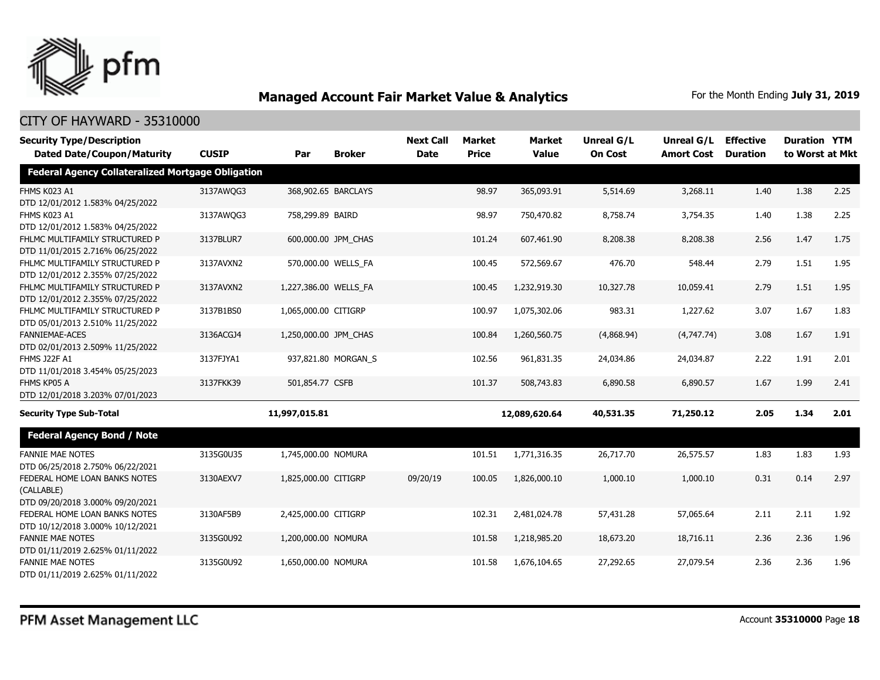

| <b>Security Type/Description</b>                  |              |                       |                     | <b>Next Call</b> | <b>Market</b> | <b>Market</b> | <b>Unreal G/L</b> | Unreal G/L        | <b>Effective</b> | <b>Duration YTM</b> |      |
|---------------------------------------------------|--------------|-----------------------|---------------------|------------------|---------------|---------------|-------------------|-------------------|------------------|---------------------|------|
| <b>Dated Date/Coupon/Maturity</b>                 | <b>CUSIP</b> | Par                   | <b>Broker</b>       | <b>Date</b>      | <b>Price</b>  | <b>Value</b>  | <b>On Cost</b>    | <b>Amort Cost</b> | <b>Duration</b>  | to Worst at Mkt     |      |
| Federal Agency Collateralized Mortgage Obligation |              |                       |                     |                  |               |               |                   |                   |                  |                     |      |
| <b>FHMS K023 A1</b>                               | 3137AWQG3    |                       | 368,902.65 BARCLAYS |                  | 98.97         | 365,093.91    | 5,514.69          | 3,268.11          | 1.40             | 1.38                | 2.25 |
| DTD 12/01/2012 1.583% 04/25/2022<br>FHMS K023 A1  |              | 758,299.89 BAIRD      |                     |                  |               |               |                   |                   |                  |                     |      |
| DTD 12/01/2012 1.583% 04/25/2022                  | 3137AWQG3    |                       |                     |                  | 98.97         | 750,470.82    | 8,758.74          | 3,754.35          | 1.40             | 1.38                | 2.25 |
| FHLMC MULTIFAMILY STRUCTURED P                    | 3137BLUR7    |                       | 600,000.00 JPM_CHAS |                  | 101.24        | 607,461.90    | 8,208.38          | 8,208.38          | 2.56             | 1.47                | 1.75 |
| DTD 11/01/2015 2.716% 06/25/2022                  |              |                       |                     |                  |               |               |                   |                   |                  |                     |      |
| FHLMC MULTIFAMILY STRUCTURED P                    | 3137AVXN2    |                       | 570,000.00 WELLS_FA |                  | 100.45        | 572,569.67    | 476.70            | 548.44            | 2.79             | 1.51                | 1.95 |
| DTD 12/01/2012 2.355% 07/25/2022                  |              |                       |                     |                  |               |               |                   |                   |                  |                     |      |
| FHLMC MULTIFAMILY STRUCTURED P                    | 3137AVXN2    | 1,227,386.00 WELLS FA |                     |                  | 100.45        | 1,232,919.30  | 10,327.78         | 10,059.41         | 2.79             | 1.51                | 1.95 |
| DTD 12/01/2012 2.355% 07/25/2022                  |              |                       |                     |                  |               |               |                   |                   |                  |                     |      |
| FHLMC MULTIFAMILY STRUCTURED P                    | 3137B1BS0    | 1,065,000.00 CITIGRP  |                     |                  | 100.97        | 1,075,302.06  | 983.31            | 1,227.62          | 3.07             | 1.67                | 1.83 |
| DTD 05/01/2013 2.510% 11/25/2022                  |              |                       |                     |                  |               |               |                   |                   |                  |                     |      |
| <b>FANNIEMAE-ACES</b>                             | 3136ACGJ4    | 1,250,000.00 JPM_CHAS |                     |                  | 100.84        | 1,260,560.75  | (4,868.94)        | (4,747.74)        | 3.08             | 1.67                | 1.91 |
| DTD 02/01/2013 2.509% 11/25/2022                  |              |                       |                     |                  |               |               |                   |                   |                  |                     |      |
| FHMS J22F A1                                      | 3137FJYA1    |                       | 937,821.80 MORGAN_S |                  | 102.56        | 961,831.35    | 24,034.86         | 24,034.87         | 2.22             | 1.91                | 2.01 |
| DTD 11/01/2018 3.454% 05/25/2023                  |              |                       |                     |                  |               |               |                   |                   |                  |                     |      |
| FHMS KP05 A                                       | 3137FKK39    | 501,854.77 CSFB       |                     |                  | 101.37        | 508,743.83    | 6,890.58          | 6,890.57          | 1.67             | 1.99                | 2.41 |
| DTD 12/01/2018 3.203% 07/01/2023                  |              |                       |                     |                  |               |               |                   |                   |                  |                     |      |
| <b>Security Type Sub-Total</b>                    |              | 11,997,015.81         |                     |                  |               | 12,089,620.64 | 40,531.35         | 71,250.12         | 2.05             | 1.34                | 2.01 |
| <b>Federal Agency Bond / Note</b>                 |              |                       |                     |                  |               |               |                   |                   |                  |                     |      |
| <b>FANNIE MAE NOTES</b>                           | 3135G0U35    | 1,745,000.00 NOMURA   |                     |                  | 101.51        | 1,771,316.35  | 26,717.70         | 26,575.57         | 1.83             | 1.83                | 1.93 |
| DTD 06/25/2018 2.750% 06/22/2021                  |              |                       |                     |                  |               |               |                   |                   |                  |                     |      |
| FEDERAL HOME LOAN BANKS NOTES                     | 3130AEXV7    | 1,825,000.00 CITIGRP  |                     | 09/20/19         | 100.05        | 1,826,000.10  | 1,000.10          | 1,000.10          | 0.31             | 0.14                | 2.97 |
| (CALLABLE)                                        |              |                       |                     |                  |               |               |                   |                   |                  |                     |      |
| DTD 09/20/2018 3.000% 09/20/2021                  |              |                       |                     |                  |               |               |                   |                   |                  |                     |      |
| FEDERAL HOME LOAN BANKS NOTES                     | 3130AF5B9    | 2,425,000.00 CITIGRP  |                     |                  | 102.31        | 2,481,024.78  | 57,431.28         | 57,065.64         | 2.11             | 2.11                | 1.92 |
| DTD 10/12/2018 3.000% 10/12/2021                  |              |                       |                     |                  |               |               |                   |                   |                  |                     |      |
| <b>FANNIE MAE NOTES</b>                           | 3135G0U92    | 1,200,000.00 NOMURA   |                     |                  | 101.58        | 1,218,985.20  | 18,673.20         | 18,716.11         | 2.36             | 2.36                | 1.96 |
| DTD 01/11/2019 2.625% 01/11/2022                  |              |                       |                     |                  |               |               |                   |                   |                  |                     |      |
| <b>FANNIE MAE NOTES</b>                           | 3135G0U92    | 1,650,000.00 NOMURA   |                     |                  | 101.58        | 1,676,104.65  | 27,292.65         | 27,079.54         | 2.36             | 2.36                | 1.96 |
| DTD 01/11/2019 2.625% 01/11/2022                  |              |                       |                     |                  |               |               |                   |                   |                  |                     |      |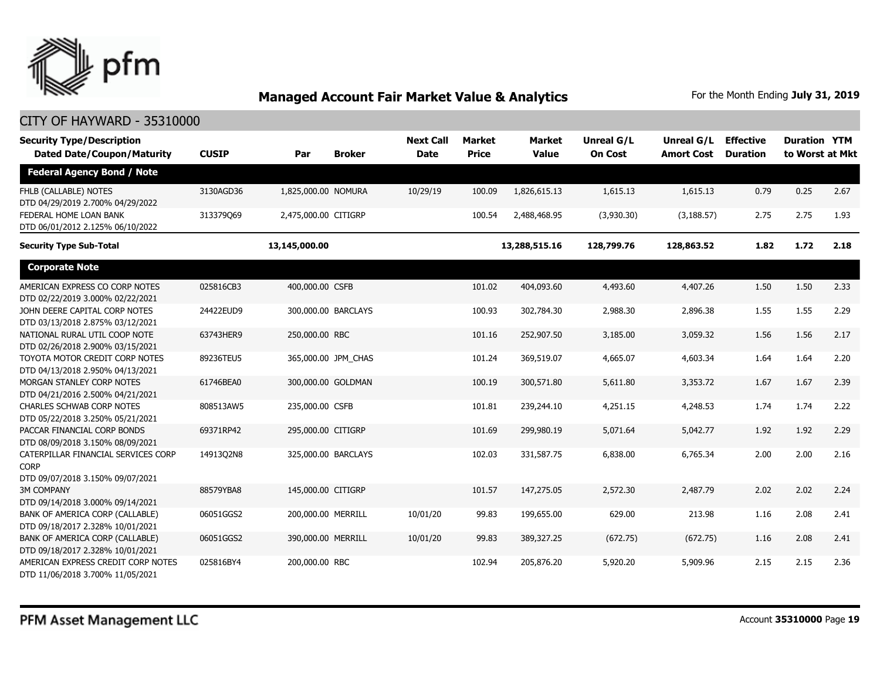

| <b>Security Type/Description</b><br><b>Dated Date/Coupon/Maturity</b>                  | <b>CUSIP</b> | Par                  | <b>Broker</b>       | <b>Next Call</b><br><b>Date</b> | <b>Market</b><br><b>Price</b> | <b>Market</b><br><b>Value</b> | Unreal G/L<br><b>On Cost</b> | Unreal G/L<br><b>Amort Cost</b> | <b>Effective</b><br><b>Duration</b> | <b>Duration YTM</b><br>to Worst at Mkt |      |
|----------------------------------------------------------------------------------------|--------------|----------------------|---------------------|---------------------------------|-------------------------------|-------------------------------|------------------------------|---------------------------------|-------------------------------------|----------------------------------------|------|
| <b>Federal Agency Bond / Note</b>                                                      |              |                      |                     |                                 |                               |                               |                              |                                 |                                     |                                        |      |
| FHLB (CALLABLE) NOTES<br>DTD 04/29/2019 2.700% 04/29/2022                              | 3130AGD36    | 1,825,000.00 NOMURA  |                     | 10/29/19                        | 100.09                        | 1,826,615.13                  | 1,615.13                     | 1,615.13                        | 0.79                                | 0.25                                   | 2.67 |
| FEDERAL HOME LOAN BANK<br>DTD 06/01/2012 2.125% 06/10/2022                             | 313379Q69    | 2,475,000.00 CITIGRP |                     |                                 | 100.54                        | 2,488,468.95                  | (3,930.30)                   | (3, 188.57)                     | 2.75                                | 2.75                                   | 1.93 |
| <b>Security Type Sub-Total</b>                                                         |              | 13,145,000.00        |                     |                                 |                               | 13,288,515.16                 | 128,799.76                   | 128,863.52                      | 1.82                                | 1.72                                   | 2.18 |
| <b>Corporate Note</b>                                                                  |              |                      |                     |                                 |                               |                               |                              |                                 |                                     |                                        |      |
| AMERICAN EXPRESS CO CORP NOTES<br>DTD 02/22/2019 3.000% 02/22/2021                     | 025816CB3    | 400,000.00 CSFB      |                     |                                 | 101.02                        | 404,093.60                    | 4,493.60                     | 4,407.26                        | 1.50                                | 1.50                                   | 2.33 |
| JOHN DEERE CAPITAL CORP NOTES<br>DTD 03/13/2018 2.875% 03/12/2021                      | 24422EUD9    |                      | 300,000.00 BARCLAYS |                                 | 100.93                        | 302,784.30                    | 2,988.30                     | 2,896.38                        | 1.55                                | 1.55                                   | 2.29 |
| NATIONAL RURAL UTIL COOP NOTE<br>DTD 02/26/2018 2.900% 03/15/2021                      | 63743HER9    | 250,000.00 RBC       |                     |                                 | 101.16                        | 252,907.50                    | 3,185.00                     | 3,059.32                        | 1.56                                | 1.56                                   | 2.17 |
| TOYOTA MOTOR CREDIT CORP NOTES<br>DTD 04/13/2018 2.950% 04/13/2021                     | 89236TEU5    |                      | 365,000.00 JPM_CHAS |                                 | 101.24                        | 369,519.07                    | 4,665.07                     | 4,603.34                        | 1.64                                | 1.64                                   | 2.20 |
| MORGAN STANLEY CORP NOTES<br>DTD 04/21/2016 2.500% 04/21/2021                          | 61746BEA0    |                      | 300,000.00 GOLDMAN  |                                 | 100.19                        | 300,571.80                    | 5,611.80                     | 3,353.72                        | 1.67                                | 1.67                                   | 2.39 |
| <b>CHARLES SCHWAB CORP NOTES</b><br>DTD 05/22/2018 3.250% 05/21/2021                   | 808513AW5    | 235,000.00 CSFB      |                     |                                 | 101.81                        | 239,244.10                    | 4,251.15                     | 4,248.53                        | 1.74                                | 1.74                                   | 2.22 |
| PACCAR FINANCIAL CORP BONDS<br>DTD 08/09/2018 3.150% 08/09/2021                        | 69371RP42    | 295,000.00 CITIGRP   |                     |                                 | 101.69                        | 299,980.19                    | 5,071.64                     | 5,042.77                        | 1.92                                | 1.92                                   | 2.29 |
| CATERPILLAR FINANCIAL SERVICES CORP<br><b>CORP</b><br>DTD 09/07/2018 3.150% 09/07/2021 | 14913Q2N8    |                      | 325,000.00 BARCLAYS |                                 | 102.03                        | 331,587.75                    | 6,838.00                     | 6,765.34                        | 2.00                                | 2.00                                   | 2.16 |
| <b>3M COMPANY</b><br>DTD 09/14/2018 3.000% 09/14/2021                                  | 88579YBA8    | 145,000.00 CITIGRP   |                     |                                 | 101.57                        | 147,275.05                    | 2,572.30                     | 2,487.79                        | 2.02                                | 2.02                                   | 2.24 |
| BANK OF AMERICA CORP (CALLABLE)<br>DTD 09/18/2017 2.328% 10/01/2021                    | 06051GGS2    | 200,000.00 MERRILL   |                     | 10/01/20                        | 99.83                         | 199,655.00                    | 629.00                       | 213.98                          | 1.16                                | 2.08                                   | 2.41 |
| BANK OF AMERICA CORP (CALLABLE)<br>DTD 09/18/2017 2.328% 10/01/2021                    | 06051GGS2    | 390,000.00 MERRILL   |                     | 10/01/20                        | 99.83                         | 389,327.25                    | (672.75)                     | (672.75)                        | 1.16                                | 2.08                                   | 2.41 |
| AMERICAN EXPRESS CREDIT CORP NOTES<br>DTD 11/06/2018 3.700% 11/05/2021                 | 025816BY4    | 200,000.00 RBC       |                     |                                 | 102.94                        | 205,876.20                    | 5,920.20                     | 5,909.96                        | 2.15                                | 2.15                                   | 2.36 |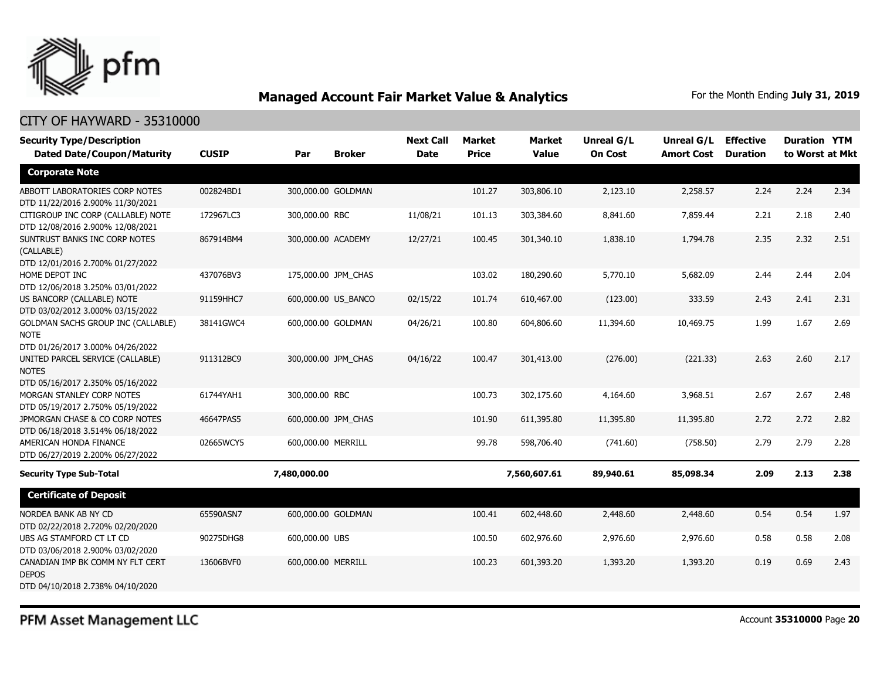

### CITY OF HAYWARD - 35310000

| <b>Security Type/Description</b><br><b>Dated Date/Coupon/Maturity</b>                 | <b>CUSIP</b> | Par                | <b>Broker</b>       | <b>Next Call</b><br><b>Date</b> | <b>Market</b><br><b>Price</b> | <b>Market</b><br><b>Value</b> | Unreal G/L<br><b>On Cost</b> | Unreal G/L<br><b>Amort Cost</b> | <b>Effective</b><br><b>Duration</b> | <b>Duration YTM</b><br>to Worst at Mkt |      |
|---------------------------------------------------------------------------------------|--------------|--------------------|---------------------|---------------------------------|-------------------------------|-------------------------------|------------------------------|---------------------------------|-------------------------------------|----------------------------------------|------|
| <b>Corporate Note</b>                                                                 |              |                    |                     |                                 |                               |                               |                              |                                 |                                     |                                        |      |
| ABBOTT LABORATORIES CORP NOTES<br>DTD 11/22/2016 2.900% 11/30/2021                    | 002824BD1    |                    | 300,000.00 GOLDMAN  |                                 | 101.27                        | 303,806.10                    | 2,123.10                     | 2,258.57                        | 2.24                                | 2.24                                   | 2.34 |
| CITIGROUP INC CORP (CALLABLE) NOTE<br>DTD 12/08/2016 2.900% 12/08/2021                | 172967LC3    | 300,000.00 RBC     |                     | 11/08/21                        | 101.13                        | 303,384.60                    | 8,841.60                     | 7,859.44                        | 2.21                                | 2.18                                   | 2.40 |
| SUNTRUST BANKS INC CORP NOTES<br>(CALLABLE)<br>DTD 12/01/2016 2.700% 01/27/2022       | 867914BM4    | 300,000.00 ACADEMY |                     | 12/27/21                        | 100.45                        | 301,340.10                    | 1,838.10                     | 1,794.78                        | 2.35                                | 2.32                                   | 2.51 |
| HOME DEPOT INC<br>DTD 12/06/2018 3.250% 03/01/2022                                    | 437076BV3    |                    | 175,000.00 JPM_CHAS |                                 | 103.02                        | 180,290.60                    | 5,770.10                     | 5,682.09                        | 2.44                                | 2.44                                   | 2.04 |
| US BANCORP (CALLABLE) NOTE<br>DTD 03/02/2012 3.000% 03/15/2022                        | 91159HHC7    |                    | 600,000.00 US BANCO | 02/15/22                        | 101.74                        | 610,467.00                    | (123.00)                     | 333.59                          | 2.43                                | 2.41                                   | 2.31 |
| GOLDMAN SACHS GROUP INC (CALLABLE)<br><b>NOTE</b><br>DTD 01/26/2017 3.000% 04/26/2022 | 38141GWC4    |                    | 600,000.00 GOLDMAN  | 04/26/21                        | 100.80                        | 604,806.60                    | 11,394.60                    | 10,469.75                       | 1.99                                | 1.67                                   | 2.69 |
| UNITED PARCEL SERVICE (CALLABLE)<br><b>NOTES</b><br>DTD 05/16/2017 2.350% 05/16/2022  | 911312BC9    |                    | 300,000.00 JPM CHAS | 04/16/22                        | 100.47                        | 301,413.00                    | (276.00)                     | (221.33)                        | 2.63                                | 2.60                                   | 2.17 |
| MORGAN STANLEY CORP NOTES<br>DTD 05/19/2017 2.750% 05/19/2022                         | 61744YAH1    | 300,000.00 RBC     |                     |                                 | 100.73                        | 302,175.60                    | 4,164.60                     | 3,968.51                        | 2.67                                | 2.67                                   | 2.48 |
| JPMORGAN CHASE & CO CORP NOTES<br>DTD 06/18/2018 3.514% 06/18/2022                    | 46647PAS5    |                    | 600,000.00 JPM CHAS |                                 | 101.90                        | 611,395.80                    | 11,395.80                    | 11,395.80                       | 2.72                                | 2.72                                   | 2.82 |
| AMERICAN HONDA FINANCE<br>DTD 06/27/2019 2.200% 06/27/2022                            | 02665WCY5    | 600,000.00 MERRILL |                     |                                 | 99.78                         | 598,706.40                    | (741.60)                     | (758.50)                        | 2.79                                | 2.79                                   | 2.28 |
| <b>Security Type Sub-Total</b>                                                        |              | 7,480,000.00       |                     |                                 |                               | 7,560,607.61                  | 89,940.61                    | 85,098.34                       | 2.09                                | 2.13                                   | 2.38 |
| <b>Certificate of Deposit</b>                                                         |              |                    |                     |                                 |                               |                               |                              |                                 |                                     |                                        |      |
| NORDEA BANK AB NY CD<br>DTD 02/22/2018 2.720% 02/20/2020                              | 65590ASN7    |                    | 600,000.00 GOLDMAN  |                                 | 100.41                        | 602,448.60                    | 2,448.60                     | 2,448.60                        | 0.54                                | 0.54                                   | 1.97 |
| UBS AG STAMFORD CT LT CD<br>DTD 03/06/2018 2.900% 03/02/2020                          | 90275DHG8    | 600,000.00 UBS     |                     |                                 | 100.50                        | 602,976.60                    | 2,976.60                     | 2,976.60                        | 0.58                                | 0.58                                   | 2.08 |
| CANADIAN IMP BK COMM NY FLT CERT<br><b>DEPOS</b><br>DTD 04/10/2018 2.738% 04/10/2020  | 13606BVF0    | 600,000.00 MERRILL |                     |                                 | 100.23                        | 601,393.20                    | 1,393.20                     | 1,393.20                        | 0.19                                | 0.69                                   | 2.43 |

PFM Asset Management LLC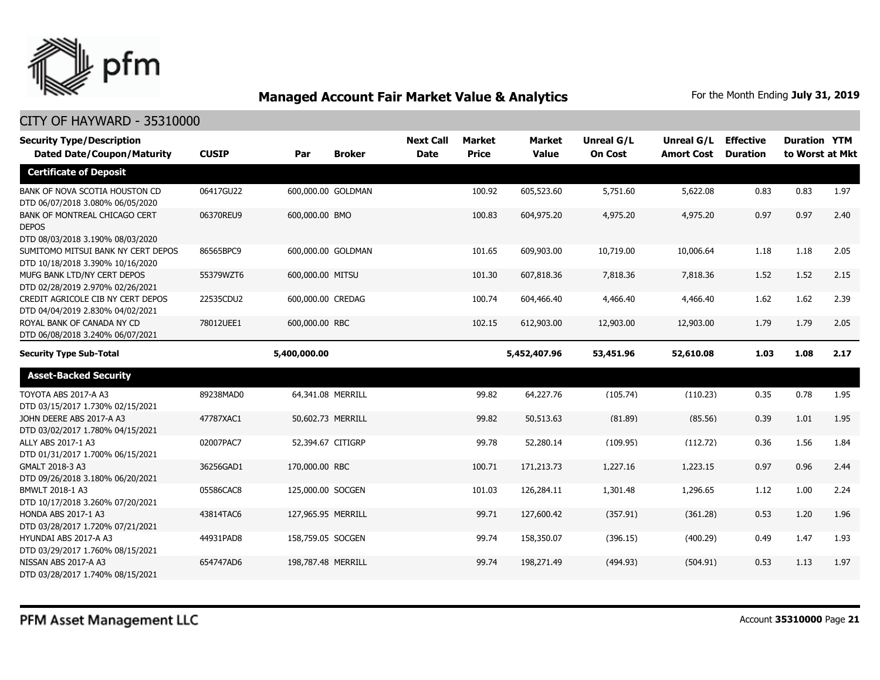

| <b>Security Type/Description</b><br><b>Dated Date/Coupon/Maturity</b>             | <b>CUSIP</b> | Par                | <b>Broker</b> | <b>Next Call</b><br><b>Date</b> | <b>Market</b><br><b>Price</b> | <b>Market</b><br><b>Value</b> | <b>Unreal G/L</b><br><b>On Cost</b> | Unreal G/L<br><b>Amort Cost</b> | <b>Effective</b><br><b>Duration</b> | <b>Duration YTM</b><br>to Worst at Mkt |      |
|-----------------------------------------------------------------------------------|--------------|--------------------|---------------|---------------------------------|-------------------------------|-------------------------------|-------------------------------------|---------------------------------|-------------------------------------|----------------------------------------|------|
| <b>Certificate of Deposit</b>                                                     |              |                    |               |                                 |                               |                               |                                     |                                 |                                     |                                        |      |
| BANK OF NOVA SCOTIA HOUSTON CD<br>DTD 06/07/2018 3.080% 06/05/2020                | 06417GU22    | 600,000.00 GOLDMAN |               |                                 | 100.92                        | 605,523.60                    | 5,751.60                            | 5,622.08                        | 0.83                                | 0.83                                   | 1.97 |
| BANK OF MONTREAL CHICAGO CERT<br><b>DEPOS</b><br>DTD 08/03/2018 3.190% 08/03/2020 | 06370REU9    | 600,000.00 BMO     |               |                                 | 100.83                        | 604,975.20                    | 4,975.20                            | 4,975.20                        | 0.97                                | 0.97                                   | 2.40 |
| SUMITOMO MITSUI BANK NY CERT DEPOS<br>DTD 10/18/2018 3.390% 10/16/2020            | 86565BPC9    | 600,000.00 GOLDMAN |               |                                 | 101.65                        | 609,903.00                    | 10,719.00                           | 10,006.64                       | 1.18                                | 1.18                                   | 2.05 |
| MUFG BANK LTD/NY CERT DEPOS<br>DTD 02/28/2019 2.970% 02/26/2021                   | 55379WZT6    | 600,000.00 MITSU   |               |                                 | 101.30                        | 607,818.36                    | 7,818.36                            | 7,818.36                        | 1.52                                | 1.52                                   | 2.15 |
| CREDIT AGRICOLE CIB NY CERT DEPOS<br>DTD 04/04/2019 2.830% 04/02/2021             | 22535CDU2    | 600,000.00 CREDAG  |               |                                 | 100.74                        | 604,466.40                    | 4,466.40                            | 4,466.40                        | 1.62                                | 1.62                                   | 2.39 |
| ROYAL BANK OF CANADA NY CD<br>DTD 06/08/2018 3.240% 06/07/2021                    | 78012UEE1    | 600,000.00 RBC     |               |                                 | 102.15                        | 612,903.00                    | 12,903.00                           | 12,903.00                       | 1.79                                | 1.79                                   | 2.05 |
| <b>Security Type Sub-Total</b>                                                    |              | 5,400,000.00       |               |                                 |                               | 5,452,407.96                  | 53,451.96                           | 52,610.08                       | 1.03                                | 1.08                                   | 2.17 |
| <b>Asset-Backed Security</b>                                                      |              |                    |               |                                 |                               |                               |                                     |                                 |                                     |                                        |      |
| TOYOTA ABS 2017-A A3<br>DTD 03/15/2017 1.730% 02/15/2021                          | 89238MAD0    | 64,341.08 MERRILL  |               |                                 | 99.82                         | 64,227.76                     | (105.74)                            | (110.23)                        | 0.35                                | 0.78                                   | 1.95 |
| JOHN DEERE ABS 2017-A A3<br>DTD 03/02/2017 1.780% 04/15/2021                      | 47787XAC1    | 50.602.73 MERRILL  |               |                                 | 99.82                         | 50,513.63                     | (81.89)                             | (85.56)                         | 0.39                                | 1.01                                   | 1.95 |
| ALLY ABS 2017-1 A3<br>DTD 01/31/2017 1.700% 06/15/2021                            | 02007PAC7    | 52,394.67 CITIGRP  |               |                                 | 99.78                         | 52,280.14                     | (109.95)                            | (112.72)                        | 0.36                                | 1.56                                   | 1.84 |
| GMALT 2018-3 A3<br>DTD 09/26/2018 3.180% 06/20/2021                               | 36256GAD1    | 170,000.00 RBC     |               |                                 | 100.71                        | 171,213.73                    | 1,227.16                            | 1,223.15                        | 0.97                                | 0.96                                   | 2.44 |
| BMWLT 2018-1 A3<br>DTD 10/17/2018 3.260% 07/20/2021                               | 05586CAC8    | 125,000.00 SOCGEN  |               |                                 | 101.03                        | 126,284.11                    | 1,301.48                            | 1,296.65                        | 1.12                                | 1.00                                   | 2.24 |
| HONDA ABS 2017-1 A3<br>DTD 03/28/2017 1.720% 07/21/2021                           | 43814TAC6    | 127,965.95 MERRILL |               |                                 | 99.71                         | 127,600.42                    | (357.91)                            | (361.28)                        | 0.53                                | 1.20                                   | 1.96 |
| HYUNDAI ABS 2017-A A3<br>DTD 03/29/2017 1.760% 08/15/2021                         | 44931PAD8    | 158,759.05 SOCGEN  |               |                                 | 99.74                         | 158,350.07                    | (396.15)                            | (400.29)                        | 0.49                                | 1.47                                   | 1.93 |
| NISSAN ABS 2017-A A3<br>DTD 03/28/2017 1.740% 08/15/2021                          | 654747AD6    | 198,787.48 MERRILL |               |                                 | 99.74                         | 198,271.49                    | (494.93)                            | (504.91)                        | 0.53                                | 1.13                                   | 1.97 |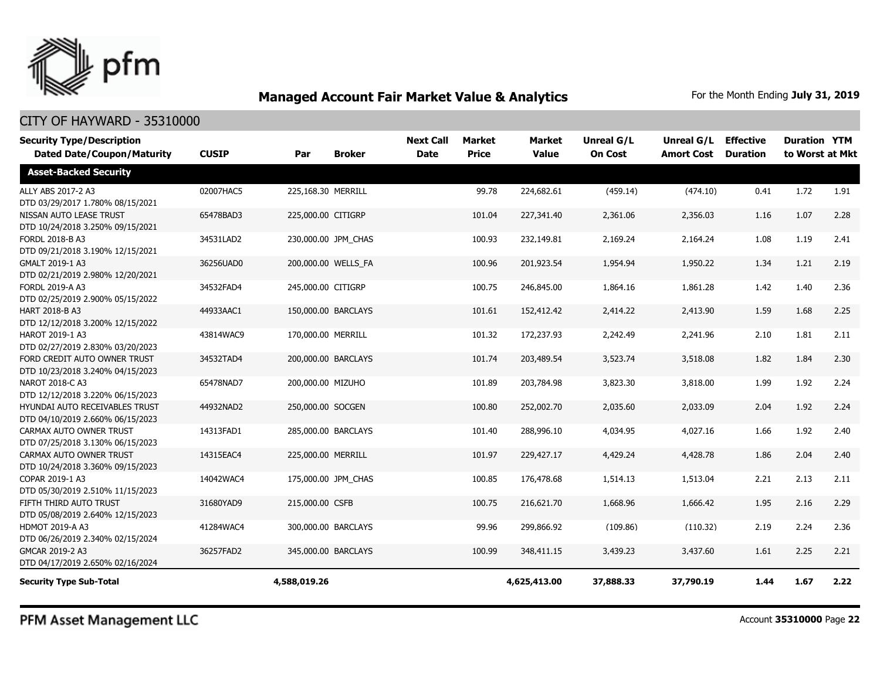

#### CITY OF HAYWARD - 35310000

| <b>Security Type/Description</b><br><b>Dated Date/Coupon/Maturity</b> | <b>CUSIP</b> | Par                 | <b>Broker</b>       | <b>Next Call</b><br><b>Date</b> | <b>Market</b><br><b>Price</b> | <b>Market</b><br><b>Value</b> | <b>Unreal G/L</b><br><b>On Cost</b> | Unreal G/L<br><b>Amort Cost</b> | <b>Effective</b><br><b>Duration</b> | <b>Duration YTM</b><br>to Worst at Mkt |      |
|-----------------------------------------------------------------------|--------------|---------------------|---------------------|---------------------------------|-------------------------------|-------------------------------|-------------------------------------|---------------------------------|-------------------------------------|----------------------------------------|------|
| <b>Asset-Backed Security</b>                                          |              |                     |                     |                                 |                               |                               |                                     |                                 |                                     |                                        |      |
| ALLY ABS 2017-2 A3<br>DTD 03/29/2017 1.780% 08/15/2021                | 02007HAC5    | 225,168.30 MERRILL  |                     |                                 | 99.78                         | 224,682.61                    | (459.14)                            | (474.10)                        | 0.41                                | 1.72                                   | 1.91 |
| NISSAN AUTO LEASE TRUST<br>DTD 10/24/2018 3.250% 09/15/2021           | 65478BAD3    | 225,000.00 CITIGRP  |                     |                                 | 101.04                        | 227,341.40                    | 2,361.06                            | 2,356.03                        | 1.16                                | 1.07                                   | 2.28 |
| FORDL 2018-B A3<br>DTD 09/21/2018 3.190% 12/15/2021                   | 34531LAD2    |                     | 230,000.00 JPM CHAS |                                 | 100.93                        | 232,149.81                    | 2,169.24                            | 2,164.24                        | 1.08                                | 1.19                                   | 2.41 |
| GMALT 2019-1 A3<br>DTD 02/21/2019 2.980% 12/20/2021                   | 36256UAD0    |                     | 200,000.00 WELLS_FA |                                 | 100.96                        | 201,923.54                    | 1,954.94                            | 1,950.22                        | 1.34                                | 1.21                                   | 2.19 |
| FORDL 2019-A A3<br>DTD 02/25/2019 2.900% 05/15/2022                   | 34532FAD4    | 245,000.00 CITIGRP  |                     |                                 | 100.75                        | 246,845.00                    | 1,864.16                            | 1,861.28                        | 1.42                                | 1.40                                   | 2.36 |
| <b>HART 2018-B A3</b><br>DTD 12/12/2018 3.200% 12/15/2022             | 44933AAC1    | 150,000.00 BARCLAYS |                     |                                 | 101.61                        | 152,412.42                    | 2,414.22                            | 2,413.90                        | 1.59                                | 1.68                                   | 2.25 |
| HAROT 2019-1 A3<br>DTD 02/27/2019 2.830% 03/20/2023                   | 43814WAC9    | 170,000.00 MERRILL  |                     |                                 | 101.32                        | 172,237.93                    | 2,242.49                            | 2,241.96                        | 2.10                                | 1.81                                   | 2.11 |
| FORD CREDIT AUTO OWNER TRUST<br>DTD 10/23/2018 3.240% 04/15/2023      | 34532TAD4    | 200,000.00 BARCLAYS |                     |                                 | 101.74                        | 203,489.54                    | 3,523.74                            | 3,518.08                        | 1.82                                | 1.84                                   | 2.30 |
| NAROT 2018-C A3<br>DTD 12/12/2018 3.220% 06/15/2023                   | 65478NAD7    | 200,000.00 MIZUHO   |                     |                                 | 101.89                        | 203,784.98                    | 3,823.30                            | 3,818.00                        | 1.99                                | 1.92                                   | 2.24 |
| HYUNDAI AUTO RECEIVABLES TRUST<br>DTD 04/10/2019 2.660% 06/15/2023    | 44932NAD2    | 250,000.00 SOCGEN   |                     |                                 | 100.80                        | 252,002.70                    | 2,035.60                            | 2,033.09                        | 2.04                                | 1.92                                   | 2.24 |
| CARMAX AUTO OWNER TRUST<br>DTD 07/25/2018 3.130% 06/15/2023           | 14313FAD1    | 285,000.00 BARCLAYS |                     |                                 | 101.40                        | 288,996.10                    | 4,034.95                            | 4,027.16                        | 1.66                                | 1.92                                   | 2.40 |
| CARMAX AUTO OWNER TRUST<br>DTD 10/24/2018 3.360% 09/15/2023           | 14315EAC4    | 225,000.00 MERRILL  |                     |                                 | 101.97                        | 229,427.17                    | 4,429.24                            | 4,428.78                        | 1.86                                | 2.04                                   | 2.40 |
| COPAR 2019-1 A3<br>DTD 05/30/2019 2.510% 11/15/2023                   | 14042WAC4    |                     | 175,000.00 JPM CHAS |                                 | 100.85                        | 176,478.68                    | 1,514.13                            | 1,513.04                        | 2.21                                | 2.13                                   | 2.11 |
| FIFTH THIRD AUTO TRUST<br>DTD 05/08/2019 2.640% 12/15/2023            | 31680YAD9    | 215,000.00 CSFB     |                     |                                 | 100.75                        | 216,621.70                    | 1,668.96                            | 1,666.42                        | 1.95                                | 2.16                                   | 2.29 |
| HDMOT 2019-A A3<br>DTD 06/26/2019 2.340% 02/15/2024                   | 41284WAC4    | 300,000.00 BARCLAYS |                     |                                 | 99.96                         | 299,866.92                    | (109.86)                            | (110.32)                        | 2.19                                | 2.24                                   | 2.36 |
| GMCAR 2019-2 A3<br>DTD 04/17/2019 2.650% 02/16/2024                   | 36257FAD2    | 345,000.00 BARCLAYS |                     |                                 | 100.99                        | 348,411.15                    | 3,439.23                            | 3,437.60                        | 1.61                                | 2.25                                   | 2.21 |
| <b>Security Type Sub-Total</b>                                        |              | 4,588,019.26        |                     |                                 |                               | 4,625,413.00                  | 37,888.33                           | 37,790.19                       | 1.44                                | 1.67                                   | 2.22 |

PFM Asset Management LLC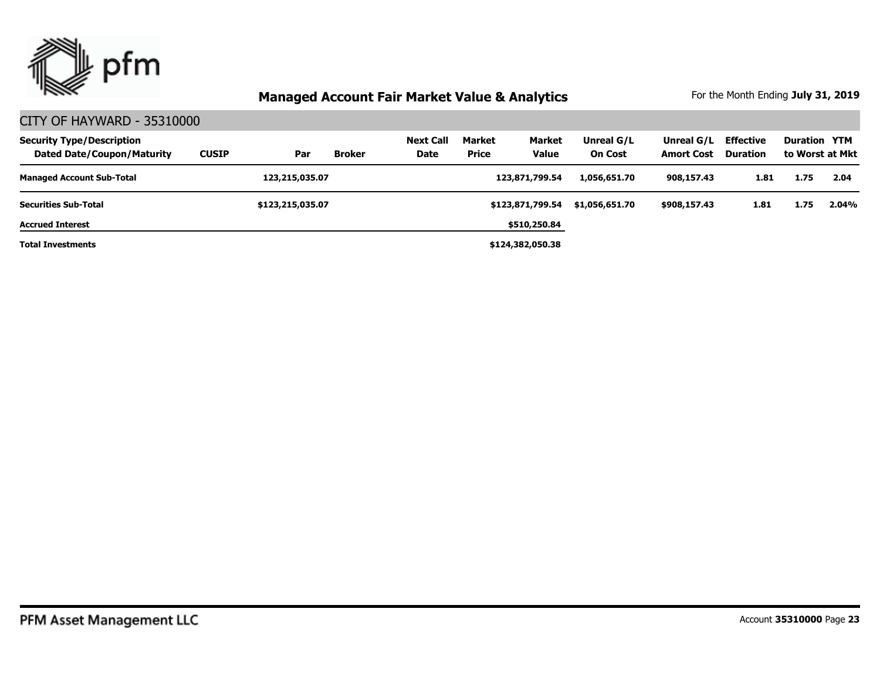

| <b>Security Type/Description</b><br><b>Dated Date/Coupon/Maturity</b> | <b>CUSIP</b> | Par              | <b>Broker</b> | Next Call<br>Date | Market<br><b>Price</b> | <b>Market</b><br><b>Value</b> | Unreal G/L<br><b>On Cost</b> | Unreal G/L<br><b>Amort Cost</b> | <b>Effective</b><br><b>Duration</b> | <b>Duration YTM</b> | to Worst at Mkt |
|-----------------------------------------------------------------------|--------------|------------------|---------------|-------------------|------------------------|-------------------------------|------------------------------|---------------------------------|-------------------------------------|---------------------|-----------------|
| <b>Managed Account Sub-Total</b>                                      |              | 123,215,035.07   |               |                   |                        | 123,871,799.54                | 1,056,651.70                 | 908,157.43                      | 1.81                                | 1.75                | 2.04            |
| <b>Securities Sub-Total</b>                                           |              | \$123,215,035.07 |               |                   |                        | \$123,871,799.54              | \$1,056,651.70               | \$908,157.43                    | 1.81                                | 1.75                | 2.04%           |
| <b>Accrued Interest</b>                                               |              |                  |               |                   |                        | \$510,250.84                  |                              |                                 |                                     |                     |                 |
| <b>Total Investments</b>                                              |              |                  |               |                   |                        | \$124,382,050.38              |                              |                                 |                                     |                     |                 |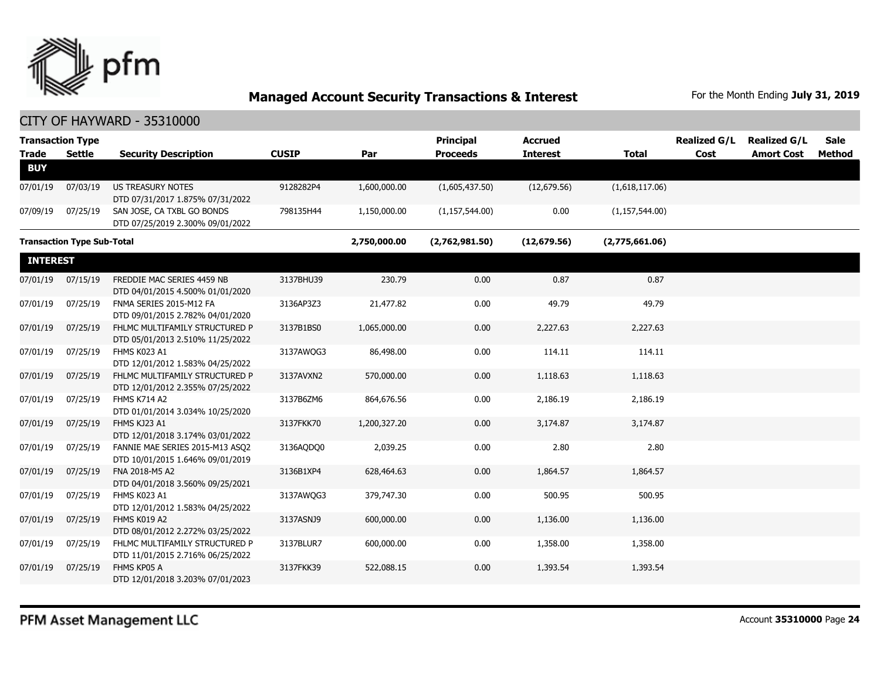

| <b>Trade</b>    | <b>Transaction Type</b><br><b>Settle</b> | <b>Security Description</b>                                         | <b>CUSIP</b> | Par          | <b>Principal</b><br><b>Proceeds</b> | <b>Accrued</b><br><b>Interest</b> | <b>Total</b>     | <b>Realized G/L</b><br>Cost | <b>Realized G/L</b><br><b>Amort Cost</b> | Sale<br>Method |
|-----------------|------------------------------------------|---------------------------------------------------------------------|--------------|--------------|-------------------------------------|-----------------------------------|------------------|-----------------------------|------------------------------------------|----------------|
| <b>BUY</b>      |                                          |                                                                     |              |              |                                     |                                   |                  |                             |                                          |                |
| 07/01/19        | 07/03/19                                 | <b>US TREASURY NOTES</b><br>DTD 07/31/2017 1.875% 07/31/2022        | 9128282P4    | 1,600,000.00 | (1,605,437.50)                      | (12,679.56)                       | (1,618,117.06)   |                             |                                          |                |
| 07/09/19        | 07/25/19                                 | SAN JOSE, CA TXBL GO BONDS<br>DTD 07/25/2019 2.300% 09/01/2022      | 798135H44    | 1,150,000.00 | (1, 157, 544.00)                    | 0.00                              | (1, 157, 544.00) |                             |                                          |                |
|                 | <b>Transaction Type Sub-Total</b>        |                                                                     |              | 2,750,000.00 | (2,762,981.50)                      | (12, 679.56)                      | (2,775,661.06)   |                             |                                          |                |
| <b>INTEREST</b> |                                          |                                                                     |              |              |                                     |                                   |                  |                             |                                          |                |
| 07/01/19        | 07/15/19                                 | FREDDIE MAC SERIES 4459 NB<br>DTD 04/01/2015 4.500% 01/01/2020      | 3137BHU39    | 230.79       | 0.00                                | 0.87                              | 0.87             |                             |                                          |                |
| 07/01/19        | 07/25/19                                 | FNMA SERIES 2015-M12 FA<br>DTD 09/01/2015 2.782% 04/01/2020         | 3136AP3Z3    | 21,477.82    | 0.00                                | 49.79                             | 49.79            |                             |                                          |                |
| 07/01/19        | 07/25/19                                 | FHLMC MULTIFAMILY STRUCTURED P<br>DTD 05/01/2013 2.510% 11/25/2022  | 3137B1BS0    | 1,065,000.00 | 0.00                                | 2,227.63                          | 2,227.63         |                             |                                          |                |
| 07/01/19        | 07/25/19                                 | FHMS K023 A1<br>DTD 12/01/2012 1.583% 04/25/2022                    | 3137AWQG3    | 86,498.00    | 0.00                                | 114.11                            | 114.11           |                             |                                          |                |
| 07/01/19        | 07/25/19                                 | FHLMC MULTIFAMILY STRUCTURED P<br>DTD 12/01/2012 2.355% 07/25/2022  | 3137AVXN2    | 570,000.00   | 0.00                                | 1,118.63                          | 1,118.63         |                             |                                          |                |
| 07/01/19        | 07/25/19                                 | <b>FHMS K714 A2</b><br>DTD 01/01/2014 3.034% 10/25/2020             | 3137B6ZM6    | 864,676.56   | 0.00                                | 2,186.19                          | 2,186.19         |                             |                                          |                |
| 07/01/19        | 07/25/19                                 | FHMS KJ23 A1<br>DTD 12/01/2018 3.174% 03/01/2022                    | 3137FKK70    | 1,200,327.20 | 0.00                                | 3,174.87                          | 3,174.87         |                             |                                          |                |
| 07/01/19        | 07/25/19                                 | FANNIE MAE SERIES 2015-M13 ASQ2<br>DTD 10/01/2015 1.646% 09/01/2019 | 3136AQDQ0    | 2,039.25     | 0.00                                | 2.80                              | 2.80             |                             |                                          |                |
| 07/01/19        | 07/25/19                                 | FNA 2018-M5 A2<br>DTD 04/01/2018 3.560% 09/25/2021                  | 3136B1XP4    | 628,464.63   | 0.00                                | 1,864.57                          | 1,864.57         |                             |                                          |                |
| 07/01/19        | 07/25/19                                 | FHMS K023 A1<br>DTD 12/01/2012 1.583% 04/25/2022                    | 3137AWOG3    | 379,747.30   | 0.00                                | 500.95                            | 500.95           |                             |                                          |                |
| 07/01/19        | 07/25/19                                 | FHMS K019 A2<br>DTD 08/01/2012 2.272% 03/25/2022                    | 3137ASNJ9    | 600,000.00   | 0.00                                | 1,136.00                          | 1,136.00         |                             |                                          |                |
| 07/01/19        | 07/25/19                                 | FHLMC MULTIFAMILY STRUCTURED P<br>DTD 11/01/2015 2.716% 06/25/2022  | 3137BLUR7    | 600,000.00   | 0.00                                | 1,358.00                          | 1,358.00         |                             |                                          |                |
| 07/01/19        | 07/25/19                                 | FHMS KP05 A<br>DTD 12/01/2018 3.203% 07/01/2023                     | 3137FKK39    | 522,088.15   | 0.00                                | 1,393.54                          | 1,393.54         |                             |                                          |                |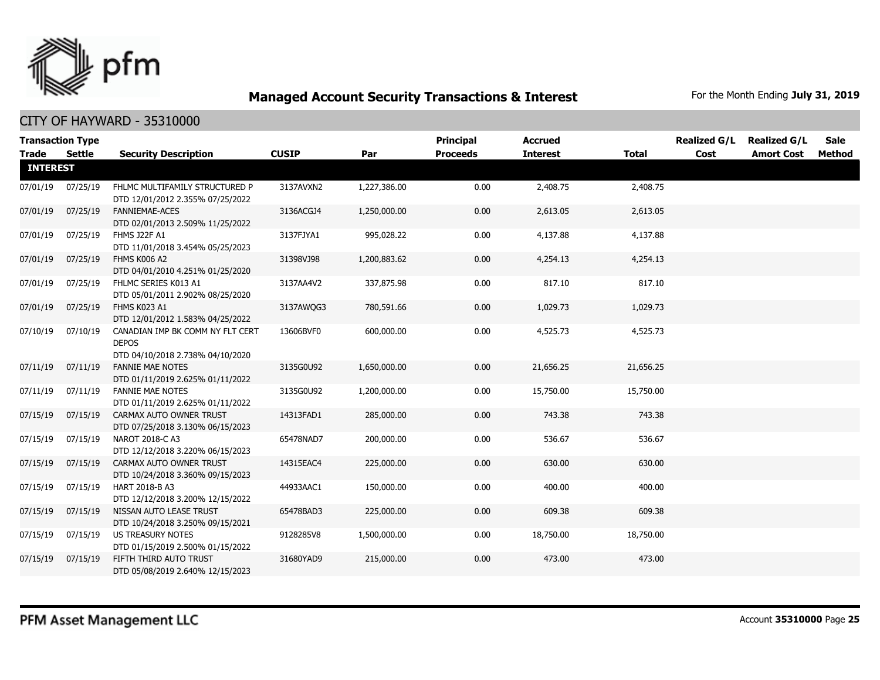

| <b>Trade</b>    | <b>Transaction Type</b><br>Settle | <b>Security Description</b>                                                          | <b>CUSIP</b> | Par          | Principal<br><b>Proceeds</b> | <b>Accrued</b><br><b>Interest</b> | <b>Total</b> | <b>Realized G/L</b><br>Cost | <b>Realized G/L</b><br><b>Amort Cost</b> | <b>Sale</b><br>Method |
|-----------------|-----------------------------------|--------------------------------------------------------------------------------------|--------------|--------------|------------------------------|-----------------------------------|--------------|-----------------------------|------------------------------------------|-----------------------|
| <b>INTEREST</b> |                                   |                                                                                      |              |              |                              |                                   |              |                             |                                          |                       |
| 07/01/19        | 07/25/19                          | FHLMC MULTIFAMILY STRUCTURED P<br>DTD 12/01/2012 2.355% 07/25/2022                   | 3137AVXN2    | 1,227,386.00 | 0.00                         | 2,408.75                          | 2,408.75     |                             |                                          |                       |
| 07/01/19        | 07/25/19                          | <b>FANNIEMAE-ACES</b><br>DTD 02/01/2013 2.509% 11/25/2022                            | 3136ACGJ4    | 1,250,000.00 | 0.00                         | 2,613.05                          | 2,613.05     |                             |                                          |                       |
| 07/01/19        | 07/25/19                          | <b>FHMS J22F A1</b><br>DTD 11/01/2018 3.454% 05/25/2023                              | 3137FJYA1    | 995,028.22   | 0.00                         | 4,137.88                          | 4,137.88     |                             |                                          |                       |
| 07/01/19        | 07/25/19                          | FHMS K006 A2<br>DTD 04/01/2010 4.251% 01/25/2020                                     | 31398VJ98    | 1,200,883.62 | 0.00                         | 4,254.13                          | 4,254.13     |                             |                                          |                       |
| 07/01/19        | 07/25/19                          | FHLMC SERIES K013 A1<br>DTD 05/01/2011 2.902% 08/25/2020                             | 3137AA4V2    | 337,875.98   | 0.00                         | 817.10                            | 817.10       |                             |                                          |                       |
| 07/01/19        | 07/25/19                          | FHMS K023 A1<br>DTD 12/01/2012 1.583% 04/25/2022                                     | 3137AWQG3    | 780,591.66   | 0.00                         | 1,029.73                          | 1,029.73     |                             |                                          |                       |
| 07/10/19        | 07/10/19                          | CANADIAN IMP BK COMM NY FLT CERT<br><b>DEPOS</b><br>DTD 04/10/2018 2.738% 04/10/2020 | 13606BVF0    | 600,000.00   | 0.00                         | 4,525.73                          | 4,525.73     |                             |                                          |                       |
| 07/11/19        | 07/11/19                          | <b>FANNIE MAE NOTES</b><br>DTD 01/11/2019 2.625% 01/11/2022                          | 3135G0U92    | 1,650,000.00 | 0.00                         | 21,656.25                         | 21,656.25    |                             |                                          |                       |
| 07/11/19        | 07/11/19                          | <b>FANNIE MAE NOTES</b><br>DTD 01/11/2019 2.625% 01/11/2022                          | 3135G0U92    | 1,200,000.00 | 0.00                         | 15,750.00                         | 15,750.00    |                             |                                          |                       |
| 07/15/19        | 07/15/19                          | CARMAX AUTO OWNER TRUST<br>DTD 07/25/2018 3.130% 06/15/2023                          | 14313FAD1    | 285,000.00   | 0.00                         | 743.38                            | 743.38       |                             |                                          |                       |
| 07/15/19        | 07/15/19                          | NAROT 2018-C A3<br>DTD 12/12/2018 3.220% 06/15/2023                                  | 65478NAD7    | 200,000.00   | 0.00                         | 536.67                            | 536.67       |                             |                                          |                       |
| 07/15/19        | 07/15/19                          | CARMAX AUTO OWNER TRUST<br>DTD 10/24/2018 3.360% 09/15/2023                          | 14315EAC4    | 225,000.00   | 0.00                         | 630.00                            | 630.00       |                             |                                          |                       |
| 07/15/19        | 07/15/19                          | HART 2018-B A3<br>DTD 12/12/2018 3.200% 12/15/2022                                   | 44933AAC1    | 150,000.00   | 0.00                         | 400.00                            | 400.00       |                             |                                          |                       |
| 07/15/19        | 07/15/19                          | NISSAN AUTO LEASE TRUST<br>DTD 10/24/2018 3.250% 09/15/2021                          | 65478BAD3    | 225,000.00   | 0.00                         | 609.38                            | 609.38       |                             |                                          |                       |
| 07/15/19        | 07/15/19                          | US TREASURY NOTES<br>DTD 01/15/2019 2.500% 01/15/2022                                | 9128285V8    | 1,500,000.00 | 0.00                         | 18,750.00                         | 18,750.00    |                             |                                          |                       |
| 07/15/19        | 07/15/19                          | FIFTH THIRD AUTO TRUST<br>DTD 05/08/2019 2.640% 12/15/2023                           | 31680YAD9    | 215,000.00   | 0.00                         | 473.00                            | 473.00       |                             |                                          |                       |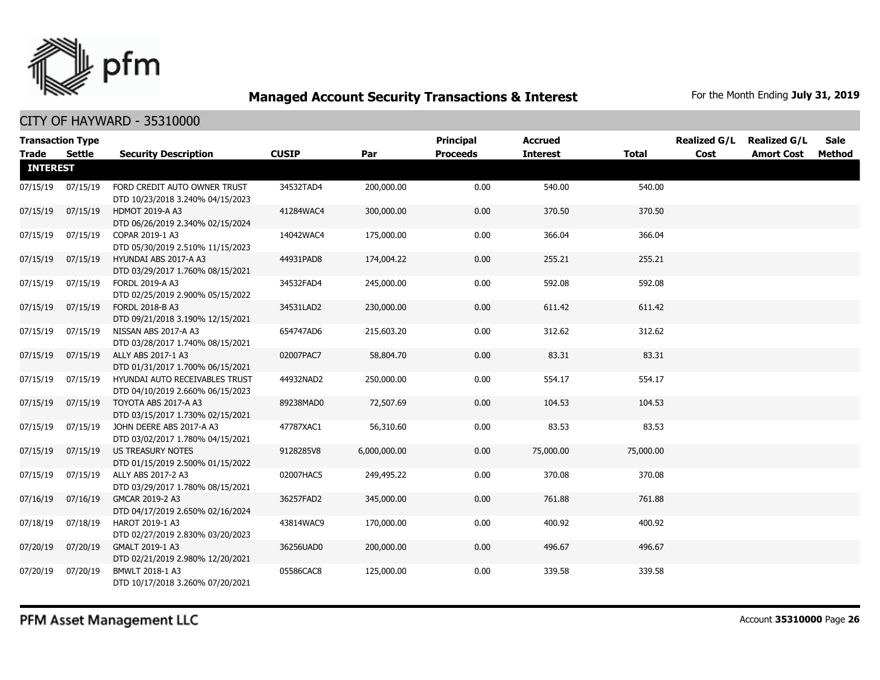

|                 | <b>Transaction Type</b> |                                                                    |              |              | <b>Principal</b> | <b>Accrued</b>  |              | <b>Realized G/L</b> | <b>Realized G/L</b> | <b>Sale</b> |
|-----------------|-------------------------|--------------------------------------------------------------------|--------------|--------------|------------------|-----------------|--------------|---------------------|---------------------|-------------|
| Trade Settle    |                         | <b>Security Description</b>                                        | <b>CUSIP</b> | Par          | <b>Proceeds</b>  | <b>Interest</b> | <b>Total</b> | Cost                | <b>Amort Cost</b>   | Method      |
| <b>INTEREST</b> |                         |                                                                    |              |              |                  |                 |              |                     |                     |             |
| 07/15/19        | 07/15/19                | FORD CREDIT AUTO OWNER TRUST<br>DTD 10/23/2018 3.240% 04/15/2023   | 34532TAD4    | 200,000.00   | 0.00             | 540.00          | 540.00       |                     |                     |             |
| 07/15/19        | 07/15/19                | <b>HDMOT 2019-A A3</b><br>DTD 06/26/2019 2.340% 02/15/2024         | 41284WAC4    | 300,000.00   | 0.00             | 370.50          | 370.50       |                     |                     |             |
| 07/15/19        | 07/15/19                | COPAR 2019-1 A3<br>DTD 05/30/2019 2.510% 11/15/2023                | 14042WAC4    | 175,000.00   | 0.00             | 366.04          | 366.04       |                     |                     |             |
| 07/15/19        | 07/15/19                | HYUNDAI ABS 2017-A A3<br>DTD 03/29/2017 1.760% 08/15/2021          | 44931PAD8    | 174,004.22   | 0.00             | 255.21          | 255.21       |                     |                     |             |
| 07/15/19        | 07/15/19                | FORDL 2019-A A3<br>DTD 02/25/2019 2.900% 05/15/2022                | 34532FAD4    | 245,000.00   | 0.00             | 592.08          | 592.08       |                     |                     |             |
| 07/15/19        | 07/15/19                | FORDL 2018-B A3<br>DTD 09/21/2018 3.190% 12/15/2021                | 34531LAD2    | 230,000.00   | 0.00             | 611.42          | 611.42       |                     |                     |             |
| 07/15/19        | 07/15/19                | NISSAN ABS 2017-A A3<br>DTD 03/28/2017 1.740% 08/15/2021           | 654747AD6    | 215,603.20   | 0.00             | 312.62          | 312.62       |                     |                     |             |
| 07/15/19        | 07/15/19                | ALLY ABS 2017-1 A3<br>DTD 01/31/2017 1.700% 06/15/2021             | 02007PAC7    | 58,804.70    | 0.00             | 83.31           | 83.31        |                     |                     |             |
| 07/15/19        | 07/15/19                | HYUNDAI AUTO RECEIVABLES TRUST<br>DTD 04/10/2019 2.660% 06/15/2023 | 44932NAD2    | 250,000.00   | 0.00             | 554.17          | 554.17       |                     |                     |             |
| 07/15/19        | 07/15/19                | TOYOTA ABS 2017-A A3<br>DTD 03/15/2017 1.730% 02/15/2021           | 89238MAD0    | 72,507.69    | 0.00             | 104.53          | 104.53       |                     |                     |             |
| 07/15/19        | 07/15/19                | JOHN DEERE ABS 2017-A A3<br>DTD 03/02/2017 1.780% 04/15/2021       | 47787XAC1    | 56,310.60    | 0.00             | 83.53           | 83.53        |                     |                     |             |
| 07/15/19        | 07/15/19                | US TREASURY NOTES<br>DTD 01/15/2019 2.500% 01/15/2022              | 9128285V8    | 6,000,000.00 | 0.00             | 75,000.00       | 75,000.00    |                     |                     |             |
| 07/15/19        | 07/15/19                | ALLY ABS 2017-2 A3<br>DTD 03/29/2017 1.780% 08/15/2021             | 02007HAC5    | 249,495.22   | 0.00             | 370.08          | 370.08       |                     |                     |             |
| 07/16/19        | 07/16/19                | GMCAR 2019-2 A3<br>DTD 04/17/2019 2.650% 02/16/2024                | 36257FAD2    | 345,000.00   | 0.00             | 761.88          | 761.88       |                     |                     |             |
| 07/18/19        | 07/18/19                | HAROT 2019-1 A3<br>DTD 02/27/2019 2.830% 03/20/2023                | 43814WAC9    | 170,000.00   | 0.00             | 400.92          | 400.92       |                     |                     |             |
| 07/20/19        | 07/20/19                | GMALT 2019-1 A3<br>DTD 02/21/2019 2.980% 12/20/2021                | 36256UAD0    | 200,000.00   | 0.00             | 496.67          | 496.67       |                     |                     |             |
| 07/20/19        | 07/20/19                | BMWLT 2018-1 A3<br>DTD 10/17/2018 3.260% 07/20/2021                | 05586CAC8    | 125,000.00   | 0.00             | 339.58          | 339.58       |                     |                     |             |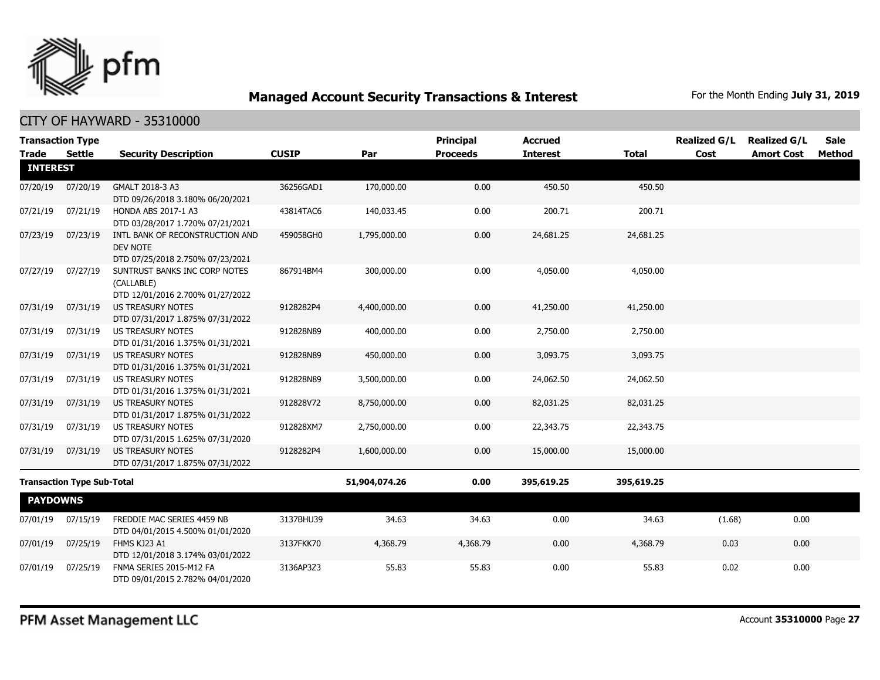

|                 | <b>Transaction Type</b>           |                                                                                 |              |               | <b>Principal</b> | <b>Accrued</b>  |              | <b>Realized G/L</b> | <b>Realized G/L</b> | <b>Sale</b> |
|-----------------|-----------------------------------|---------------------------------------------------------------------------------|--------------|---------------|------------------|-----------------|--------------|---------------------|---------------------|-------------|
| <b>Trade</b>    | Settle                            | <b>Security Description</b>                                                     | <b>CUSIP</b> | Par           | <b>Proceeds</b>  | <b>Interest</b> | <b>Total</b> | Cost                | <b>Amort Cost</b>   | Method      |
| <b>INTEREST</b> |                                   |                                                                                 |              |               |                  |                 |              |                     |                     |             |
| 07/20/19        | 07/20/19                          | GMALT 2018-3 A3<br>DTD 09/26/2018 3.180% 06/20/2021                             | 36256GAD1    | 170,000.00    | 0.00             | 450.50          | 450.50       |                     |                     |             |
| 07/21/19        | 07/21/19                          | HONDA ABS 2017-1 A3<br>DTD 03/28/2017 1.720% 07/21/2021                         | 43814TAC6    | 140,033.45    | 0.00             | 200.71          | 200.71       |                     |                     |             |
| 07/23/19        | 07/23/19                          | INTL BANK OF RECONSTRUCTION AND<br>DEV NOTE<br>DTD 07/25/2018 2.750% 07/23/2021 | 459058GH0    | 1,795,000.00  | 0.00             | 24,681.25       | 24,681.25    |                     |                     |             |
| 07/27/19        | 07/27/19                          | SUNTRUST BANKS INC CORP NOTES<br>(CALLABLE)<br>DTD 12/01/2016 2.700% 01/27/2022 | 867914BM4    | 300,000.00    | 0.00             | 4,050.00        | 4,050.00     |                     |                     |             |
| 07/31/19        | 07/31/19                          | <b>US TREASURY NOTES</b><br>DTD 07/31/2017 1.875% 07/31/2022                    | 9128282P4    | 4,400,000.00  | 0.00             | 41,250.00       | 41,250.00    |                     |                     |             |
| 07/31/19        | 07/31/19                          | <b>US TREASURY NOTES</b><br>DTD 01/31/2016 1.375% 01/31/2021                    | 912828N89    | 400,000.00    | 0.00             | 2,750.00        | 2,750.00     |                     |                     |             |
| 07/31/19        | 07/31/19                          | <b>US TREASURY NOTES</b><br>DTD 01/31/2016 1.375% 01/31/2021                    | 912828N89    | 450,000.00    | 0.00             | 3,093.75        | 3,093.75     |                     |                     |             |
| 07/31/19        | 07/31/19                          | <b>US TREASURY NOTES</b><br>DTD 01/31/2016 1.375% 01/31/2021                    | 912828N89    | 3,500,000.00  | 0.00             | 24,062.50       | 24,062.50    |                     |                     |             |
| 07/31/19        | 07/31/19                          | <b>US TREASURY NOTES</b><br>DTD 01/31/2017 1.875% 01/31/2022                    | 912828V72    | 8,750,000.00  | 0.00             | 82,031.25       | 82,031.25    |                     |                     |             |
| 07/31/19        | 07/31/19                          | <b>US TREASURY NOTES</b><br>DTD 07/31/2015 1.625% 07/31/2020                    | 912828XM7    | 2,750,000.00  | 0.00             | 22,343.75       | 22,343.75    |                     |                     |             |
| 07/31/19        | 07/31/19                          | US TREASURY NOTES<br>DTD 07/31/2017 1.875% 07/31/2022                           | 9128282P4    | 1,600,000.00  | 0.00             | 15,000.00       | 15,000.00    |                     |                     |             |
|                 | <b>Transaction Type Sub-Total</b> |                                                                                 |              | 51,904,074.26 | 0.00             | 395,619.25      | 395,619.25   |                     |                     |             |
| <b>PAYDOWNS</b> |                                   |                                                                                 |              |               |                  |                 |              |                     |                     |             |
| 07/01/19        | 07/15/19                          | FREDDIE MAC SERIES 4459 NB<br>DTD 04/01/2015 4.500% 01/01/2020                  | 3137BHU39    | 34.63         | 34.63            | 0.00            | 34.63        | (1.68)              | 0.00                |             |
| 07/01/19        | 07/25/19                          | FHMS KJ23 A1<br>DTD 12/01/2018 3.174% 03/01/2022                                | 3137FKK70    | 4,368.79      | 4,368.79         | 0.00            | 4,368.79     | 0.03                | 0.00                |             |
| 07/01/19        | 07/25/19                          | FNMA SERIES 2015-M12 FA<br>DTD 09/01/2015 2.782% 04/01/2020                     | 3136AP3Z3    | 55.83         | 55.83            | 0.00            | 55.83        | 0.02                | 0.00                |             |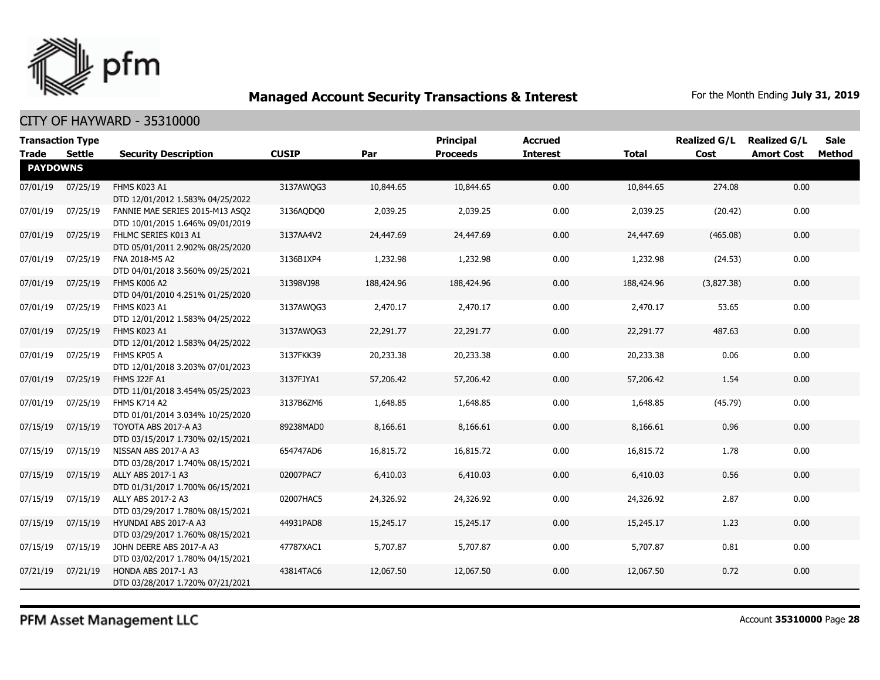

CITY OF HAYWARD - 35310000

| <b>Transaction Type</b><br><b>Trade</b> | Settle   | <b>Security Description</b>                                         | <b>CUSIP</b> | Par        | <b>Principal</b><br><b>Proceeds</b> | Accrued<br><b>Interest</b> | <b>Total</b> | <b>Realized G/L</b><br>Cost | <b>Realized G/L</b><br><b>Amort Cost</b> | <b>Sale</b><br>Method |
|-----------------------------------------|----------|---------------------------------------------------------------------|--------------|------------|-------------------------------------|----------------------------|--------------|-----------------------------|------------------------------------------|-----------------------|
| <b>PAYDOWNS</b>                         |          |                                                                     |              |            |                                     |                            |              |                             |                                          |                       |
| 07/01/19                                | 07/25/19 | FHMS K023 A1<br>DTD 12/01/2012 1.583% 04/25/2022                    | 3137AWQG3    | 10,844.65  | 10,844.65                           | 0.00                       | 10,844.65    | 274.08                      | 0.00                                     |                       |
| 07/01/19                                | 07/25/19 | FANNIE MAE SERIES 2015-M13 ASQ2<br>DTD 10/01/2015 1.646% 09/01/2019 | 3136AQDQ0    | 2,039.25   | 2,039.25                            | 0.00                       | 2,039.25     | (20.42)                     | 0.00                                     |                       |
| 07/01/19                                | 07/25/19 | FHLMC SERIES K013 A1<br>DTD 05/01/2011 2.902% 08/25/2020            | 3137AA4V2    | 24,447.69  | 24,447.69                           | 0.00                       | 24,447.69    | (465.08)                    | 0.00                                     |                       |
| 07/01/19                                | 07/25/19 | FNA 2018-M5 A2<br>DTD 04/01/2018 3.560% 09/25/2021                  | 3136B1XP4    | 1,232.98   | 1,232.98                            | 0.00                       | 1,232.98     | (24.53)                     | 0.00                                     |                       |
| 07/01/19                                | 07/25/19 | FHMS K006 A2<br>DTD 04/01/2010 4.251% 01/25/2020                    | 31398VJ98    | 188,424.96 | 188,424.96                          | 0.00                       | 188,424.96   | (3,827.38)                  | 0.00                                     |                       |
| 07/01/19                                | 07/25/19 | FHMS K023 A1<br>DTD 12/01/2012 1.583% 04/25/2022                    | 3137AWQG3    | 2,470.17   | 2,470.17                            | 0.00                       | 2,470.17     | 53.65                       | 0.00                                     |                       |
| 07/01/19                                | 07/25/19 | FHMS K023 A1<br>DTD 12/01/2012 1.583% 04/25/2022                    | 3137AWQG3    | 22,291.77  | 22,291.77                           | 0.00                       | 22,291.77    | 487.63                      | 0.00                                     |                       |
| 07/01/19                                | 07/25/19 | FHMS KP05 A<br>DTD 12/01/2018 3.203% 07/01/2023                     | 3137FKK39    | 20,233.38  | 20,233.38                           | 0.00                       | 20,233.38    | 0.06                        | 0.00                                     |                       |
| 07/01/19                                | 07/25/19 | <b>FHMS J22F A1</b><br>DTD 11/01/2018 3.454% 05/25/2023             | 3137FJYA1    | 57,206.42  | 57,206.42                           | 0.00                       | 57,206.42    | 1.54                        | 0.00                                     |                       |
| 07/01/19                                | 07/25/19 | FHMS K714 A2<br>DTD 01/01/2014 3.034% 10/25/2020                    | 3137B6ZM6    | 1,648.85   | 1,648.85                            | 0.00                       | 1,648.85     | (45.79)                     | 0.00                                     |                       |
| 07/15/19                                | 07/15/19 | TOYOTA ABS 2017-A A3<br>DTD 03/15/2017 1.730% 02/15/2021            | 89238MAD0    | 8,166.61   | 8,166.61                            | 0.00                       | 8,166.61     | 0.96                        | 0.00                                     |                       |
| 07/15/19                                | 07/15/19 | NISSAN ABS 2017-A A3<br>DTD 03/28/2017 1.740% 08/15/2021            | 654747AD6    | 16,815.72  | 16,815.72                           | 0.00                       | 16,815.72    | 1.78                        | 0.00                                     |                       |
| 07/15/19                                | 07/15/19 | ALLY ABS 2017-1 A3<br>DTD 01/31/2017 1.700% 06/15/2021              | 02007PAC7    | 6,410.03   | 6,410.03                            | 0.00                       | 6,410.03     | 0.56                        | 0.00                                     |                       |
| 07/15/19                                | 07/15/19 | ALLY ABS 2017-2 A3<br>DTD 03/29/2017 1.780% 08/15/2021              | 02007HAC5    | 24,326.92  | 24,326.92                           | 0.00                       | 24,326.92    | 2.87                        | 0.00                                     |                       |
| 07/15/19                                | 07/15/19 | HYUNDAI ABS 2017-A A3<br>DTD 03/29/2017 1.760% 08/15/2021           | 44931PAD8    | 15,245.17  | 15,245.17                           | 0.00                       | 15,245.17    | 1.23                        | 0.00                                     |                       |
| 07/15/19                                | 07/15/19 | JOHN DEERE ABS 2017-A A3<br>DTD 03/02/2017 1.780% 04/15/2021        | 47787XAC1    | 5,707.87   | 5,707.87                            | 0.00                       | 5,707.87     | 0.81                        | 0.00                                     |                       |
| 07/21/19                                | 07/21/19 | <b>HONDA ABS 2017-1 A3</b><br>DTD 03/28/2017 1.720% 07/21/2021      | 43814TAC6    | 12,067.50  | 12,067.50                           | 0.00                       | 12,067.50    | 0.72                        | 0.00                                     |                       |

PFM Asset Management LLC